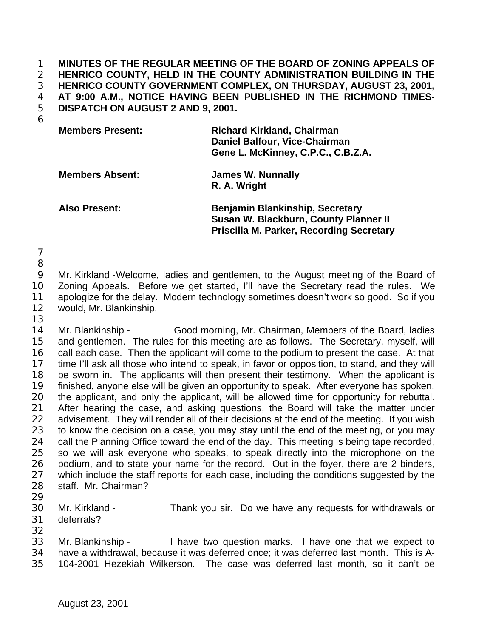**MINUTES OF THE REGULAR MEETING OF THE BOARD OF ZONING APPEALS OF HENRICO COUNTY, HELD IN THE COUNTY ADMINISTRATION BUILDING IN THE HENRICO COUNTY GOVERNMENT COMPLEX, ON THURSDAY, AUGUST 23, 2001, AT 9:00 A.M., NOTICE HAVING BEEN PUBLISHED IN THE RICHMOND TIMES-DISPATCH ON AUGUST 2 AND 9, 2001.**

| <b>Members Present:</b> | <b>Richard Kirkland, Chairman</b><br>Daniel Balfour, Vice-Chairman<br>Gene L. McKinney, C.P.C., C.B.Z.A. |
|-------------------------|----------------------------------------------------------------------------------------------------------|
| <b>Members Absent:</b>  | <b>James W. Nunnally</b><br>R. A. Wright                                                                 |
| <b>Also Present:</b>    | <b>Benjamin Blankinship, Secretary</b>                                                                   |

**Susan W. Blackburn, County Planner II Priscilla M. Parker, Recording Secretary**

 

 Mr. Kirkland -Welcome, ladies and gentlemen, to the August meeting of the Board of Zoning Appeals. Before we get started, I'll have the Secretary read the rules. We apologize for the delay. Modern technology sometimes doesn't work so good. So if you would, Mr. Blankinship. 

 Mr. Blankinship - Good morning, Mr. Chairman, Members of the Board, ladies and gentlemen. The rules for this meeting are as follows. The Secretary, myself, will call each case. Then the applicant will come to the podium to present the case. At that time I'll ask all those who intend to speak, in favor or opposition, to stand, and they will be sworn in. The applicants will then present their testimony. When the applicant is finished, anyone else will be given an opportunity to speak. After everyone has spoken, 20 the applicant, and only the applicant, will be allowed time for opportunity for rebuttal.<br>21 After hearing the case, and asking questions, the Board will take the matter under After hearing the case, and asking questions, the Board will take the matter under 22 advisement. They will render all of their decisions at the end of the meeting. If you wish to know the decision on a case, you may stay until the end of the meeting, or you may 24 call the Planning Office toward the end of the day. This meeting is being tape recorded, so we will ask everyone who speaks, to speak directly into the microphone on the podium, and to state your name for the record. Out in the foyer, there are 2 binders, 27 which include the staff reports for each case, including the conditions suggested by the staff. Mr. Chairman?

 Mr. Kirkland - Thank you sir. Do we have any requests for withdrawals or deferrals?

 Mr. Blankinship - I have two question marks. I have one that we expect to have a withdrawal, because it was deferred once; it was deferred last month. This is A-104-2001 Hezekiah Wilkerson. The case was deferred last month, so it can't be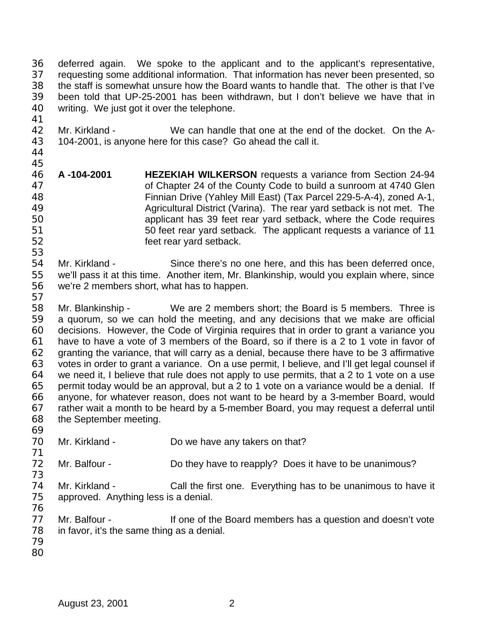deferred again. We spoke to the applicant and to the applicant's representative, requesting some additional information. That information has never been presented, so the staff is somewhat unsure how the Board wants to handle that. The other is that I've been told that UP-25-2001 has been withdrawn, but I don't believe we have that in writing. We just got it over the telephone.

- Mr. Kirkland We can handle that one at the end of the docket. On the A-104-2001, is anyone here for this case? Go ahead the call it.
- 

- **A -104-2001 HEZEKIAH WILKERSON** requests a variance from Section 24-94 of Chapter 24 of the County Code to build a sunroom at 4740 Glen Finnian Drive (Yahley Mill East) (Tax Parcel 229-5-A-4), zoned A-1, Agricultural District (Varina). The rear yard setback is not met. The applicant has 39 feet rear yard setback, where the Code requires 50 feet rear yard setback. The applicant requests a variance of 11 feet rear yard setback.
- Mr. Kirkland Since there's no one here, and this has been deferred once, we'll pass it at this time. Another item, Mr. Blankinship, would you explain where, since we're 2 members short, what has to happen.
- 

 Mr. Blankinship - We are 2 members short; the Board is 5 members. Three is a quorum, so we can hold the meeting, and any decisions that we make are official decisions. However, the Code of Virginia requires that in order to grant a variance you have to have a vote of 3 members of the Board, so if there is a 2 to 1 vote in favor of granting the variance, that will carry as a denial, because there have to be 3 affirmative votes in order to grant a variance. On a use permit, I believe, and I'll get legal counsel if we need it, I believe that rule does not apply to use permits, that a 2 to 1 vote on a use permit today would be an approval, but a 2 to 1 vote on a variance would be a denial. If 66 anyone, for whatever reason, does not want to be heard by a 3-member Board, would 67 rather wait a month to be heard by a 5-member Board, you may request a deferral until rather wait a month to be heard by a 5-member Board, you may request a deferral until the September meeting. 

- Mr. Kirkland Do we have any takers on that?
- 72 Mr. Balfour - Do they have to reapply? Does it have to be unanimous?
- Mr. Kirkland - Call the first one. Everything has to be unanimous to have it approved. Anything less is a denial.
- 76<br>77
- Mr. Balfour If one of the Board members has a question and doesn't vote in favor, it's the same thing as a denial.
-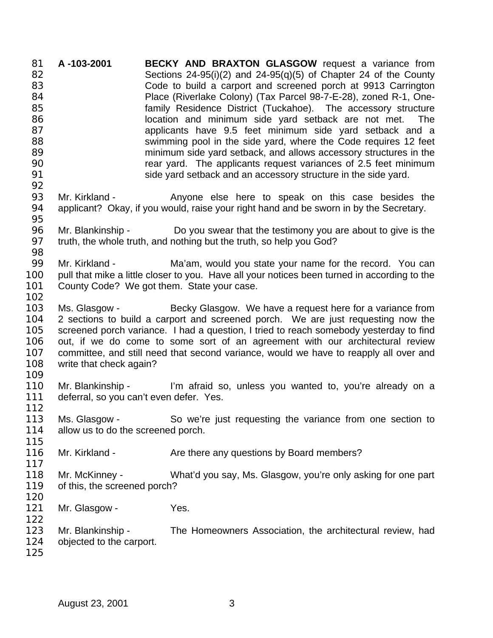**A -103-2001 BECKY AND BRAXTON GLASGOW** request a variance from Sections 24-95(i)(2) and 24-95(q)(5) of Chapter 24 of the County Code to build a carport and screened porch at 9913 Carrington Place (Riverlake Colony) (Tax Parcel 98-7-E-28), zoned R-1, One- family Residence District (Tuckahoe). The accessory structure **Solution** location and minimum side yard setback are not met. The applicants have 9.5 feet minimum side yard setback and a swimming pool in the side yard, where the Code requires 12 feet minimum side yard setback, and allows accessory structures in the rear yard. The applicants request variances of 2.5 feet minimum side yard setback and an accessory structure in the side yard. Mr. Kirkland - Anyone else here to speak on this case besides the applicant? Okay, if you would, raise your right hand and be sworn in by the Secretary. Mr. Blankinship - Do you swear that the testimony you are about to give is the truth, the whole truth, and nothing but the truth, so help you God? 99 Mr. Kirkland - Ma'am, would you state your name for the record. You can pull that mike a little closer to you. Have all your notices been turned in according to the County Code? We got them. State your case. 103 Ms. Glasgow - Becky Glasgow. We have a request here for a variance from 2 sections to build a carport and screened porch. We are just requesting now the screened porch variance. I had a question, I tried to reach somebody yesterday to find out, if we do come to some sort of an agreement with our architectural review committee, and still need that second variance, would we have to reapply all over and write that check again? Mr. Blankinship - I'm afraid so, unless you wanted to, you're already on a deferral, so you can't even defer. Yes. Ms. Glasgow - So we're just requesting the variance from one section to 114 allow us to do the screened porch. 116 Mr. Kirkland - Are there any questions by Board members? Mr. McKinney - What'd you say, Ms. Glasgow, you're only asking for one part of this, the screened porch? 121 Mr. Glasgow - Yes. Mr. Blankinship - The Homeowners Association, the architectural review, had objected to the carport.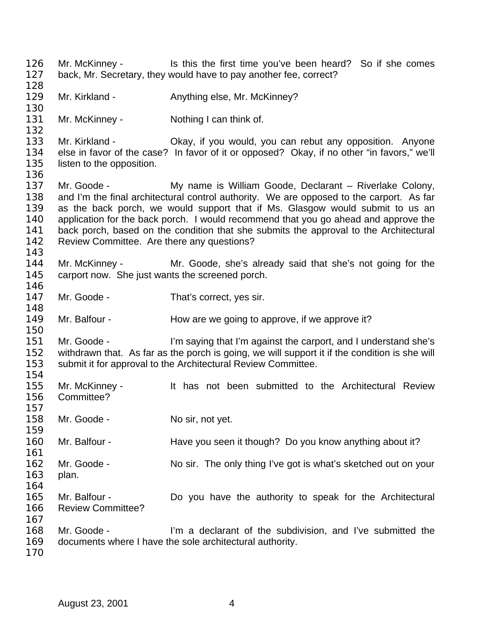126 Mr. McKinney - Is this the first time you've been heard? So if she comes back, Mr. Secretary, they would have to pay another fee, correct? 129 Mr. Kirkland - Anything else, Mr. McKinney? 131 Mr. McKinney - Nothing I can think of. Mr. Kirkland - Okay, if you would, you can rebut any opposition. Anyone else in favor of the case? In favor of it or opposed? Okay, if no other "in favors," we'll 135 listen to the opposition. Mr. Goode - My name is William Goode, Declarant – Riverlake Colony, and I'm the final architectural control authority. We are opposed to the carport. As far as the back porch, we would support that if Ms. Glasgow would submit to us an application for the back porch. I would recommend that you go ahead and approve the back porch, based on the condition that she submits the approval to the Architectural Review Committee. Are there any questions? Mr. McKinney - Mr. Goode, she's already said that she's not going for the carport now. She just wants the screened porch. 147 Mr. Goode - That's correct, yes sir. 149 Mr. Balfour - How are we going to approve, if we approve it? Mr. Goode - I'm saying that I'm against the carport, and I understand she's withdrawn that. As far as the porch is going, we will support it if the condition is she will submit it for approval to the Architectural Review Committee. Mr. McKinney - It has not been submitted to the Architectural Review Committee? 158 Mr. Goode - No sir, not yet. 160 Mr. Balfour - Have you seen it though? Do you know anything about it? 162 Mr. Goode - No sir. The only thing I've got is what's sketched out on your plan. Mr. Balfour - Do you have the authority to speak for the Architectural Review Committee? Mr. Goode - I'm a declarant of the subdivision, and I've submitted the documents where I have the sole architectural authority.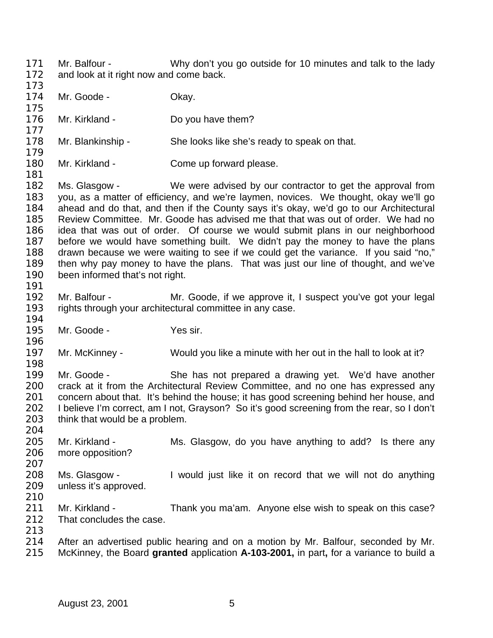174 Mr. Goode - Okay. 176 Mr. Kirkland - Do you have them? Mr. Blankinship - She looks like she's ready to speak on that. 180 Mr. Kirkland - Come up forward please. 182 Ms. Glasgow - We were advised by our contractor to get the approval from you, as a matter of efficiency, and we're laymen, novices. We thought, okay we'll go ahead and do that, and then if the County says it's okay, we'd go to our Architectural Review Committee. Mr. Goode has advised me that that was out of order. We had no idea that was out of order. Of course we would submit plans in our neighborhood before we would have something built. We didn't pay the money to have the plans drawn because we were waiting to see if we could get the variance. If you said "no," then why pay money to have the plans. That was just our line of thought, and we've been informed that's not right. Mr. Balfour - Mr. Goode, if we approve it, I suspect you've got your legal rights through your architectural committee in any case. Mr. Goode - Yes sir. Mr. McKinney - Would you like a minute with her out in the hall to look at it? Mr. Goode - She has not prepared a drawing yet. We'd have another crack at it from the Architectural Review Committee, and no one has expressed any 201 concern about that. It's behind the house; it has good screening behind her house, and 202 I believe I'm correct. am I not. Gravson? So it's good screening from the rear, so I don't I believe I'm correct, am I not, Grayson? So it's good screening from the rear, so I don't think that would be a problem. 205 Mr. Kirkland - Ms. Glasgow, do you have anything to add? Is there any more opposition? Ms. Glasgow - I would just like it on record that we will not do anything unless it's approved. 211 Mr. Kirkland - Thank you ma'am. Anyone else wish to speak on this case?<br>212 That concludes the case. That concludes the case. After an advertised public hearing and on a motion by Mr. Balfour, seconded by Mr. McKinney, the Board **granted** application **A-103-2001,** in part**,** for a variance to build a

Mr. Balfour - Why don't you go outside for 10 minutes and talk to the lady

172 and look at it right now and come back.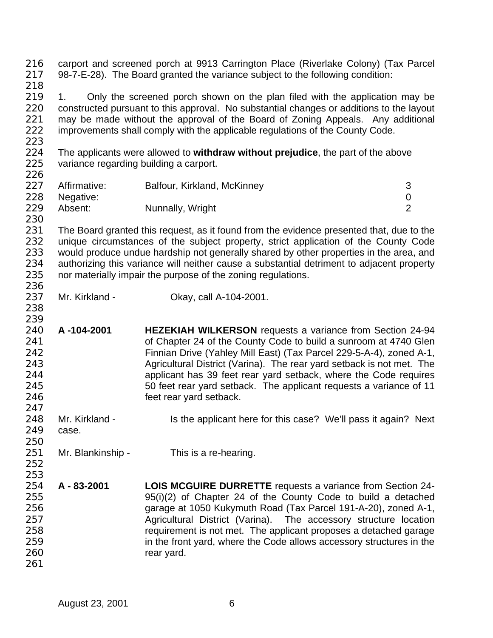carport and screened porch at 9913 Carrington Place (Riverlake Colony) (Tax Parcel 98-7-E-28). The Board granted the variance subject to the following condition: 219 1. Only the screened porch shown on the plan filed with the application may be constructed pursuant to this approval. No substantial changes or additions to the layout 221 may be made without the approval of the Board of Zoning Appeals. Any additional 222 improvements shall comply with the applicable requilations of the County Code. improvements shall comply with the applicable regulations of the County Code. The applicants were allowed to **withdraw without prejudice**, the part of the above variance regarding building a carport. Affirmative: Balfour, Kirkland, McKinney 3 Negative: 0 229 Absent: Nunnally, Wright 229 Absent: 2 231 The Board granted this request, as it found from the evidence presented that, due to the 232 unique circumstances of the subject property, strict application of the County Code would produce undue hardship not generally shared by other properties in the area, and authorizing this variance will neither cause a substantial detriment to adjacent property nor materially impair the purpose of the zoning regulations. Mr. Kirkland - Okay, call A-104-2001. **A -104-2001 HEZEKIAH WILKERSON** requests a variance from Section 24-94 **build a sunroom at 4740 Glen** of Chapter 24 of the County Code to build a sunroom at 4740 Glen Finnian Drive (Yahley Mill East) (Tax Parcel 229-5-A-4), zoned A-1, Agricultural District (Varina). The rear yard setback is not met. The applicant has 39 feet rear yard setback, where the Code requires 50 feet rear yard setback. The applicant requests a variance of 11 *Particulary Set rear yard setback.*  248 Mr. Kirkland - Is the applicant here for this case? We'll pass it again? Next case. 251 Mr. Blankinship - This is a re-hearing. **A - 83-2001 LOIS MCGUIRE DURRETTE** requests a variance from Section 24- 95(i)(2) of Chapter 24 of the County Code to build a detached garage at 1050 Kukymuth Road (Tax Parcel 191-A-20), zoned A-1, Agricultural District (Varina). The accessory structure location requirement is not met. The applicant proposes a detached garage 259 in the front yard, where the Code allows accessory structures in the 260 rear yard.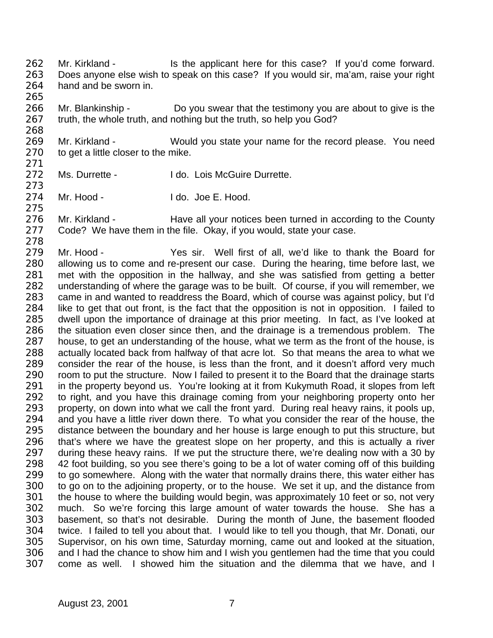262 Mr. Kirkland - Is the applicant here for this case? If you'd come forward. Does anyone else wish to speak on this case? If you would sir, ma'am, raise your right hand and be sworn in.

 Mr. Blankinship - Do you swear that the testimony you are about to give is the truth, the whole truth, and nothing but the truth, so help you God?

 Mr. Kirkland - Would you state your name for the record please. You need 270 to get a little closer to the mike.

272 Ms. Durrette - I do. Lois McGuire Durrette.

Mr. Hood - I do. Joe E. Hood.

276 Mr. Kirkland - Have all your notices been turned in according to the County 277 Code? We have them in the file. Okay, if you would, state your case.

 Mr. Hood - Yes sir. Well first of all, we'd like to thank the Board for allowing us to come and re-present our case. During the hearing, time before last, we met with the opposition in the hallway, and she was satisfied from getting a better understanding of where the garage was to be built. Of course, if you will remember, we came in and wanted to readdress the Board, which of course was against policy, but I'd like to get that out front, is the fact that the opposition is not in opposition. I failed to dwell upon the importance of drainage at this prior meeting. In fact, as I've looked at the situation even closer since then, and the drainage is a tremendous problem. The house, to get an understanding of the house, what we term as the front of the house, is actually located back from halfway of that acre lot. So that means the area to what we consider the rear of the house, is less than the front, and it doesn't afford very much 290 room to put the structure. Now I failed to present it to the Board that the drainage starts 291 in the property beyond us. You're looking at it from Kukymuth Road, it slopes from left 292 to right, and you have this drainage coming from your neighboring property onto her 293 property. On down into what we call the front vard. During real heavy rains, it pools up. property, on down into what we call the front yard. During real heavy rains, it pools up, and you have a little river down there. To what you consider the rear of the house, the distance between the boundary and her house is large enough to put this structure, but that's where we have the greatest slope on her property, and this is actually a river 297 during these heavy rains. If we put the structure there, we're dealing now with a 30 by 42 foot building, so you see there's going to be a lot of water coming off of this building 299 to go somewhere. Along with the water that normally drains there, this water either has to go on to the adjoining property, or to the house. We set it up, and the distance from the house to where the building would begin, was approximately 10 feet or so, not very much. So we're forcing this large amount of water towards the house. She has a basement, so that's not desirable. During the month of June, the basement flooded twice. I failed to tell you about that. I would like to tell you though, that Mr. Donati, our Supervisor, on his own time, Saturday morning, came out and looked at the situation, and I had the chance to show him and I wish you gentlemen had the time that you could come as well. I showed him the situation and the dilemma that we have, and I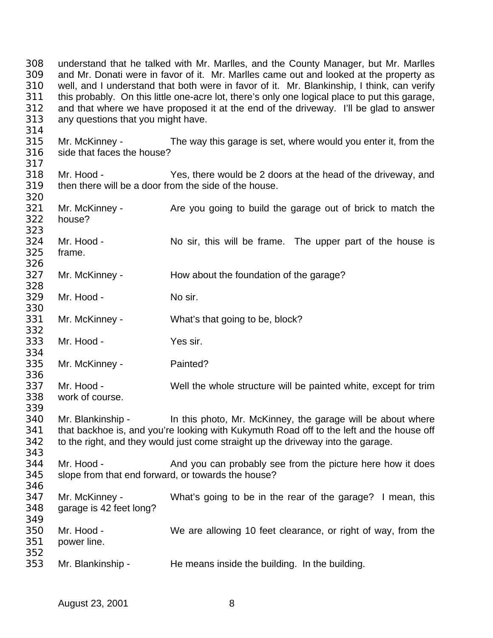understand that he talked with Mr. Marlles, and the County Manager, but Mr. Marlles and Mr. Donati were in favor of it. Mr. Marlles came out and looked at the property as well, and I understand that both were in favor of it. Mr. Blankinship, I think, can verify this probably. On this little one-acre lot, there's only one logical place to put this garage, and that where we have proposed it at the end of the driveway. I'll be glad to answer any questions that you might have. Mr. McKinney - The way this garage is set, where would you enter it, from the side that faces the house? Mr. Hood - Yes, there would be 2 doors at the head of the driveway, and then there will be a door from the side of the house. 321 Mr. McKinney - Are you going to build the garage out of brick to match the house? Mr. Hood - No sir, this will be frame. The upper part of the house is frame. Mr. McKinney - How about the foundation of the garage? Mr. Hood - No sir. Mr. McKinney - What's that going to be, block? Mr. Hood - Yes sir. Mr. McKinney - Painted? Mr. Hood - Well the whole structure will be painted white, except for trim work of course. Mr. Blankinship - In this photo, Mr. McKinney, the garage will be about where 341 that backhoe is, and you're looking with Kukymuth Road off to the left and the house off to the right, and they would just come straight up the driveway into the garage. 344 Mr. Hood - And you can probably see from the picture here how it does slope from that end forward, or towards the house? Mr. McKinney - What's going to be in the rear of the garage? I mean, this garage is 42 feet long? Mr. Hood - We are allowing 10 feet clearance, or right of way, from the power line. Mr. Blankinship - He means inside the building. In the building.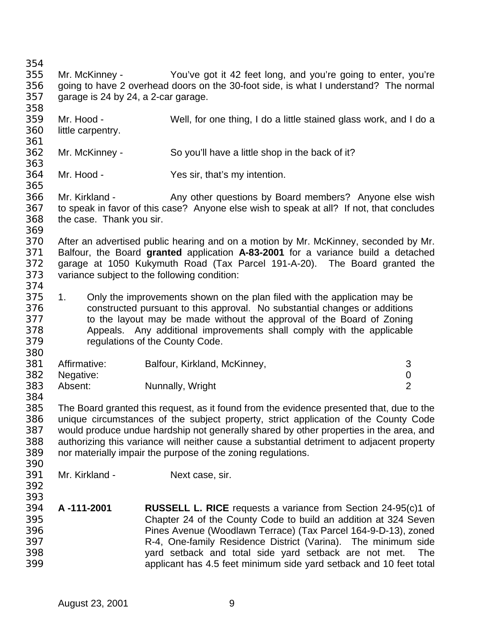Mr. McKinney - You've got it 42 feet long, and you're going to enter, you're going to have 2 overhead doors on the 30-foot side, is what I understand? The normal garage is 24 by 24, a 2-car garage. Mr. Hood - Well, for one thing, I do a little stained glass work, and I do a little carpentry. Mr. McKinney - So you'll have a little shop in the back of it? Mr. Hood - Yes sir, that's my intention. Mr. Kirkland - Any other questions by Board members? Anyone else wish to speak in favor of this case? Anyone else wish to speak at all? If not, that concludes the case. Thank you sir. After an advertised public hearing and on a motion by Mr. McKinney, seconded by Mr. Balfour, the Board **granted** application **A-83-2001** for a variance build a detached garage at 1050 Kukymuth Road (Tax Parcel 191-A-20). The Board granted the variance subject to the following condition: 374<br>375 1. Only the improvements shown on the plan filed with the application may be constructed pursuant to this approval. No substantial changes or additions to the layout may be made without the approval of the Board of Zoning Appeals. Any additional improvements shall comply with the applicable regulations of the County Code. 381 Affirmative: Balfour, Kirkland, McKinney, 3 Negative: 0 Absent: Nunnally, Wright 2 384<br>385 The Board granted this request, as it found from the evidence presented that, due to the unique circumstances of the subject property, strict application of the County Code would produce undue hardship not generally shared by other properties in the area, and authorizing this variance will neither cause a substantial detriment to adjacent property nor materially impair the purpose of the zoning regulations. Mr. Kirkland - Next case, sir. **A -111-2001 RUSSELL L. RICE** requests a variance from Section 24-95(c)1 of Chapter 24 of the County Code to build an addition at 324 Seven Pines Avenue (Woodlawn Terrace) (Tax Parcel 164-9-D-13), zoned R-4, One-family Residence District (Varina). The minimum side yard setback and total side yard setback are not met. The

applicant has 4.5 feet minimum side yard setback and 10 feet total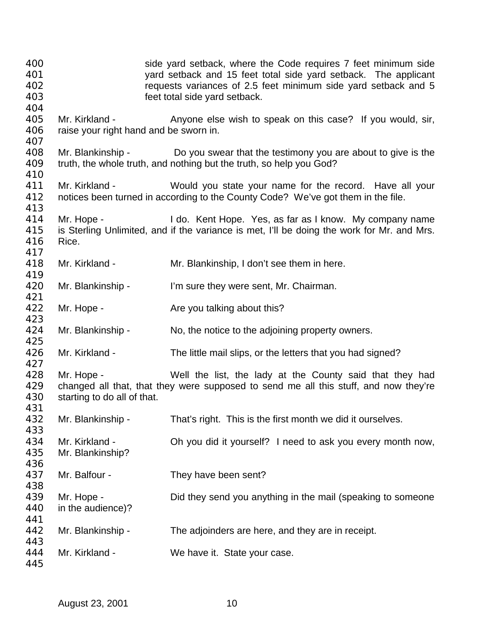| 400<br>401               |                                                          | side yard setback, where the Code requires 7 feet minimum side<br>yard setback and 15 feet total side yard setback. The applicant                     |
|--------------------------|----------------------------------------------------------|-------------------------------------------------------------------------------------------------------------------------------------------------------|
| 402<br>403               |                                                          | requests variances of 2.5 feet minimum side yard setback and 5<br>feet total side yard setback.                                                       |
| 404<br>405<br>406<br>407 | Mr. Kirkland -<br>raise your right hand and be sworn in. | Anyone else wish to speak on this case? If you would, sir,                                                                                            |
| 408<br>409               |                                                          | Mr. Blankinship - Do you swear that the testimony you are about to give is the<br>truth, the whole truth, and nothing but the truth, so help you God? |
| 410<br>411<br>412<br>413 | Mr. Kirkland -                                           | Would you state your name for the record. Have all your<br>notices been turned in according to the County Code? We've got them in the file.           |
| 414<br>415<br>416        | Mr. Hope -<br>Rice.                                      | I do. Kent Hope. Yes, as far as I know. My company name<br>is Sterling Unlimited, and if the variance is met, I'll be doing the work for Mr. and Mrs. |
| 417<br>418<br>419        | Mr. Kirkland -                                           | Mr. Blankinship, I don't see them in here.                                                                                                            |
| 420<br>421               | Mr. Blankinship -                                        | I'm sure they were sent, Mr. Chairman.                                                                                                                |
| 422<br>423               | Mr. Hope -                                               | Are you talking about this?                                                                                                                           |
| 424<br>425               | Mr. Blankinship -                                        | No, the notice to the adjoining property owners.                                                                                                      |
| 426<br>427               | Mr. Kirkland -                                           | The little mail slips, or the letters that you had signed?                                                                                            |
| 428<br>429<br>430<br>431 | Mr. Hope -<br>starting to do all of that.                | Well the list, the lady at the County said that they had<br>changed all that, that they were supposed to send me all this stuff, and now they're      |
| 432<br>433               | Mr. Blankinship -                                        | That's right. This is the first month we did it ourselves.                                                                                            |
| 434<br>435<br>436        | Mr. Kirkland -<br>Mr. Blankinship?                       | Oh you did it yourself? I need to ask you every month now,                                                                                            |
| 437<br>438               | Mr. Balfour -                                            | They have been sent?                                                                                                                                  |
| 439<br>440<br>441        | Mr. Hope -<br>in the audience)?                          | Did they send you anything in the mail (speaking to someone                                                                                           |
| 442<br>443               | Mr. Blankinship -                                        | The adjoinders are here, and they are in receipt.                                                                                                     |
| 444<br>445               | Mr. Kirkland -                                           | We have it. State your case.                                                                                                                          |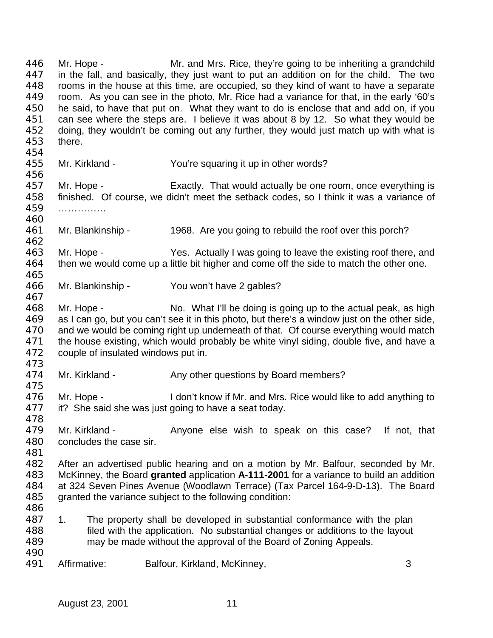Mr. Hope - Mr. and Mrs. Rice, they're going to be inheriting a grandchild in the fall, and basically, they just want to put an addition on for the child. The two rooms in the house at this time, are occupied, so they kind of want to have a separate room. As you can see in the photo, Mr. Rice had a variance for that, in the early '60's he said, to have that put on. What they want to do is enclose that and add on, if you 451 can see where the steps are. I believe it was about 8 by 12. So what they would be<br>452 doing they wouldn't be coming out any further, they would just match up with what is doing, they wouldn't be coming out any further, they would just match up with what is there. Mr. Kirkland - You're squaring it up in other words? 457 Mr. Hope - Exactly. That would actually be one room, once everything is finished. Of course, we didn't meet the setback codes, so I think it was a variance of …………… Mr. Blankinship - 1968. Are you going to rebuild the roof over this porch? Mr. Hope - Yes. Actually I was going to leave the existing roof there, and then we would come up a little bit higher and come off the side to match the other one. Mr. Blankinship - You won't have 2 gables? Mr. Hope - No. What I'll be doing is going up to the actual peak, as high as I can go, but you can't see it in this photo, but there's a window just on the other side, and we would be coming right up underneath of that. Of course everything would match 471 the house existing, which would probably be white vinyl siding, double five, and have a couple of insulated windows put in. 474 Mr. Kirkland - Any other questions by Board members? 476 Mr. Hope - I don't know if Mr. and Mrs. Rice would like to add anything to 477 it? She said she was just going to have a seat today. it? She said she was just going to have a seat today. Mr. Kirkland - Anyone else wish to speak on this case? If not, that concludes the case sir. After an advertised public hearing and on a motion by Mr. Balfour, seconded by Mr. McKinney, the Board **granted** application **A-111-2001** for a variance to build an addition at 324 Seven Pines Avenue (Woodlawn Terrace) (Tax Parcel 164-9-D-13). The Board granted the variance subject to the following condition: 486<br>487 1. The property shall be developed in substantial conformance with the plan filed with the application. No substantial changes or additions to the layout may be made without the approval of the Board of Zoning Appeals. Affirmative: Balfour, Kirkland, McKinney, 3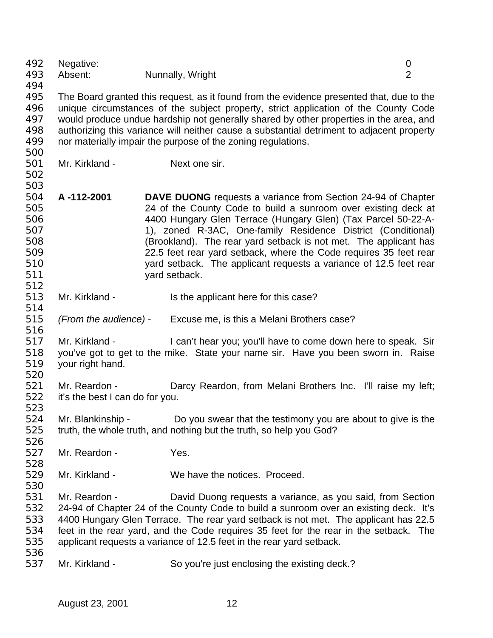| 492 | Negative:                                                                           |                                                                                           | 0              |
|-----|-------------------------------------------------------------------------------------|-------------------------------------------------------------------------------------------|----------------|
| 493 | Absent:                                                                             | Nunnally, Wright                                                                          | $\overline{2}$ |
| 494 |                                                                                     |                                                                                           |                |
| 495 |                                                                                     | The Board granted this request, as it found from the evidence presented that, due to the  |                |
| 496 | unique circumstances of the subject property, strict application of the County Code |                                                                                           |                |
| 497 |                                                                                     | would produce undue hardship not generally shared by other properties in the area, and    |                |
| 498 |                                                                                     | authorizing this variance will neither cause a substantial detriment to adjacent property |                |
| 499 |                                                                                     | nor materially impair the purpose of the zoning regulations.                              |                |
| 500 |                                                                                     |                                                                                           |                |
| 501 | Mr. Kirkland -                                                                      | Next one sir.                                                                             |                |
| 502 |                                                                                     |                                                                                           |                |
| 503 |                                                                                     |                                                                                           |                |
| 504 | A-112-2001                                                                          | <b>DAVE DUONG</b> requests a variance from Section 24-94 of Chapter                       |                |
| 505 |                                                                                     | 24 of the County Code to build a sunroom over existing deck at                            |                |
| 506 |                                                                                     | 4400 Hungary Glen Terrace (Hungary Glen) (Tax Parcel 50-22-A-                             |                |
| 507 |                                                                                     | 1), zoned R-3AC, One-family Residence District (Conditional)                              |                |
| 508 |                                                                                     | (Brookland). The rear yard setback is not met. The applicant has                          |                |
| 509 |                                                                                     | 22.5 feet rear yard setback, where the Code requires 35 feet rear                         |                |
| 510 |                                                                                     | yard setback. The applicant requests a variance of 12.5 feet rear                         |                |
| 511 |                                                                                     | yard setback.                                                                             |                |
| 512 |                                                                                     |                                                                                           |                |
| 513 | Mr. Kirkland -                                                                      | Is the applicant here for this case?                                                      |                |
| 514 |                                                                                     |                                                                                           |                |
| 515 | (From the audience) -                                                               | Excuse me, is this a Melani Brothers case?                                                |                |
| 516 |                                                                                     |                                                                                           |                |
| 517 | Mr. Kirkland -                                                                      | I can't hear you; you'll have to come down here to speak. Sir                             |                |
| 518 |                                                                                     | you've got to get to the mike. State your name sir. Have you been sworn in. Raise         |                |
| 519 | your right hand.                                                                    |                                                                                           |                |
| 520 |                                                                                     |                                                                                           |                |
| 521 | Mr. Reardon -                                                                       | Darcy Reardon, from Melani Brothers Inc. I'll raise my left;                              |                |
| 522 | it's the best I can do for you.                                                     |                                                                                           |                |
| 523 |                                                                                     |                                                                                           |                |
| 524 | Mr. Blankinship -                                                                   | Do you swear that the testimony you are about to give is the                              |                |
| 525 |                                                                                     | truth, the whole truth, and nothing but the truth, so help you God?                       |                |
| 526 |                                                                                     |                                                                                           |                |
| 527 | Mr. Reardon -                                                                       | Yes.                                                                                      |                |
| 528 |                                                                                     |                                                                                           |                |
| 529 | Mr. Kirkland -                                                                      | We have the notices. Proceed.                                                             |                |
| 530 |                                                                                     |                                                                                           |                |
| 531 | Mr. Reardon -                                                                       | David Duong requests a variance, as you said, from Section                                |                |
| 532 |                                                                                     | 24-94 of Chapter 24 of the County Code to build a sunroom over an existing deck. It's     |                |
| 533 |                                                                                     | 4400 Hungary Glen Terrace. The rear yard setback is not met. The applicant has 22.5       |                |
| 534 |                                                                                     | feet in the rear yard, and the Code requires 35 feet for the rear in the setback. The     |                |
| 535 |                                                                                     | applicant requests a variance of 12.5 feet in the rear yard setback.                      |                |
| 536 |                                                                                     |                                                                                           |                |
| 537 | Mr. Kirkland -                                                                      | So you're just enclosing the existing deck.?                                              |                |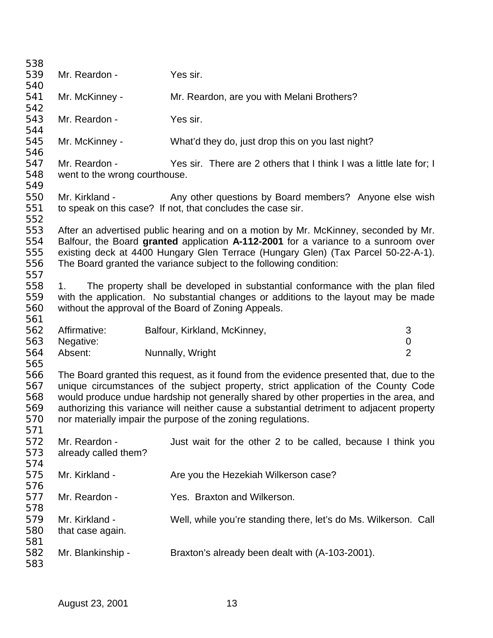| 538        |                               |                                                                                           |                |
|------------|-------------------------------|-------------------------------------------------------------------------------------------|----------------|
| 539        | Mr. Reardon -                 | Yes sir.                                                                                  |                |
| 540        |                               |                                                                                           |                |
| 541        | Mr. McKinney -                | Mr. Reardon, are you with Melani Brothers?                                                |                |
| 542        |                               |                                                                                           |                |
| 543        | Mr. Reardon -                 | Yes sir.                                                                                  |                |
| 544        |                               |                                                                                           |                |
| 545        | Mr. McKinney -                | What'd they do, just drop this on you last night?                                         |                |
| 546        |                               |                                                                                           |                |
| 547        | Mr. Reardon -                 | Yes sir. There are 2 others that I think I was a little late for; I                       |                |
| 548        | went to the wrong courthouse. |                                                                                           |                |
| 549        |                               |                                                                                           |                |
| 550        | Mr. Kirkland -                | Any other questions by Board members? Anyone else wish                                    |                |
| 551        |                               | to speak on this case? If not, that concludes the case sir.                               |                |
| 552        |                               |                                                                                           |                |
| 553        |                               | After an advertised public hearing and on a motion by Mr. McKinney, seconded by Mr.       |                |
| 554        |                               | Balfour, the Board granted application A-112-2001 for a variance to a sunroom over        |                |
| 555        |                               | existing deck at 4400 Hungary Glen Terrace (Hungary Glen) (Tax Parcel 50-22-A-1).         |                |
| 556        |                               | The Board granted the variance subject to the following condition:                        |                |
| 557        |                               |                                                                                           |                |
| 558        | 1.                            | The property shall be developed in substantial conformance with the plan filed            |                |
| 559        |                               | with the application. No substantial changes or additions to the layout may be made       |                |
| 560        |                               | without the approval of the Board of Zoning Appeals.                                      |                |
| 561        |                               |                                                                                           |                |
| 562        | Affirmative:                  | Balfour, Kirkland, McKinney,                                                              | 3              |
| 563        | Negative:                     |                                                                                           | $\pmb{0}$      |
| 564        | Absent:                       | Nunnally, Wright                                                                          | $\overline{2}$ |
| 565        |                               |                                                                                           |                |
| 566        |                               | The Board granted this request, as it found from the evidence presented that, due to the  |                |
| 567        |                               | unique circumstances of the subject property, strict application of the County Code       |                |
| 568        |                               | would produce undue hardship not generally shared by other properties in the area, and    |                |
| 569        |                               | authorizing this variance will neither cause a substantial detriment to adjacent property |                |
| 570        |                               | nor materially impair the purpose of the zoning regulations.                              |                |
| 571        |                               |                                                                                           |                |
| 572        | Mr. Reardon -                 | Just wait for the other 2 to be called, because I think you                               |                |
| 573        | already called them?          |                                                                                           |                |
| 574        |                               |                                                                                           |                |
| 575        | Mr. Kirkland -                | Are you the Hezekiah Wilkerson case?                                                      |                |
| 576        |                               |                                                                                           |                |
| 577        | Mr. Reardon -                 | Yes. Braxton and Wilkerson.                                                               |                |
| 578        |                               |                                                                                           |                |
| 579        | Mr. Kirkland -                | Well, while you're standing there, let's do Ms. Wilkerson. Call                           |                |
| 580        |                               |                                                                                           |                |
|            |                               |                                                                                           |                |
|            | that case again.              |                                                                                           |                |
| 581<br>582 | Mr. Blankinship -             | Braxton's already been dealt with (A-103-2001).                                           |                |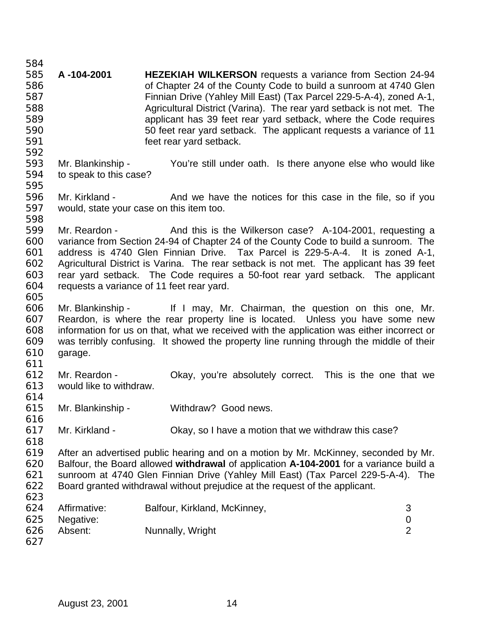**A -104-2001 HEZEKIAH WILKERSON** requests a variance from Section 24-94 of Chapter 24 of the County Code to build a sunroom at 4740 Glen Finnian Drive (Yahley Mill East) (Tax Parcel 229-5-A-4), zoned A-1, Agricultural District (Varina). The rear yard setback is not met. The applicant has 39 feet rear yard setback, where the Code requires 50 feet rear yard setback. The applicant requests a variance of 11 feet rear yard setback. Mr. Blankinship - You're still under oath. Is there anyone else who would like to speak to this case? 596 Mr. Kirkland - And we have the notices for this case in the file, so if you would, state your case on this item too. Mr. Reardon - And this is the Wilkerson case? A-104-2001, requesting a variance from Section 24-94 of Chapter 24 of the County Code to build a sunroom. The address is 4740 Glen Finnian Drive. Tax Parcel is 229-5-A-4. It is zoned A-1, Agricultural District is Varina. The rear setback is not met. The applicant has 39 feet rear yard setback. The Code requires a 50-foot rear yard setback. The applicant requests a variance of 11 feet rear yard. Mr. Blankinship - If I may, Mr. Chairman, the question on this one, Mr. Reardon, is where the rear property line is located. Unless you have some new information for us on that, what we received with the application was either incorrect or was terribly confusing. It showed the property line running through the middle of their garage. Mr. Reardon - Okay, you're absolutely correct. This is the one that we would like to withdraw. 614<br>615 Mr. Blankinship - Withdraw? Good news. Mr. Kirkland - Okay, so I have a motion that we withdraw this case? After an advertised public hearing and on a motion by Mr. McKinney, seconded by Mr. Balfour, the Board allowed **withdrawal** of application **A-104-2001** for a variance build a sunroom at 4740 Glen Finnian Drive (Yahley Mill East) (Tax Parcel 229-5-A-4). The Board granted withdrawal without prejudice at the request of the applicant. 624 Affirmative: Balfour, Kirkland, McKinney, 3<br>625 Negative: 0 Negative: 0 626 Absent: Nunnally, Wright 2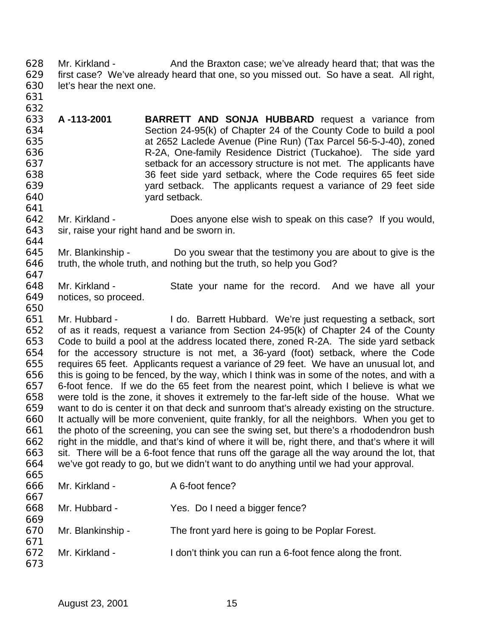628 Mr. Kirkland - And the Braxton case; we've already heard that; that was the first case? We've already heard that one, so you missed out. So have a seat. All right, let's hear the next one.

 

- **A -113-2001 BARRETT AND SONJA HUBBARD** request a variance from Section 24-95(k) of Chapter 24 of the County Code to build a pool at 2652 Laclede Avenue (Pine Run) (Tax Parcel 56-5-J-40), zoned R-2A, One-family Residence District (Tuckahoe). The side yard setback for an accessory structure is not met. The applicants have 36 feet side yard setback, where the Code requires 65 feet side yard setback. The applicants request a variance of 29 feet side yard setback.
- Mr. Kirkland - Does anyone else wish to speak on this case? If you would, sir, raise your right hand and be sworn in.
- Mr. Blankinship Do you swear that the testimony you are about to give is the truth, the whole truth, and nothing but the truth, so help you God?
- Mr. Kirkland State your name for the record. And we have all your notices, so proceed.
- Mr. Hubbard I do. Barrett Hubbard. We're just requesting a setback, sort of as it reads, request a variance from Section 24-95(k) of Chapter 24 of the County Code to build a pool at the address located there, zoned R-2A. The side yard setback for the accessory structure is not met, a 36-yard (foot) setback, where the Code requires 65 feet. Applicants request a variance of 29 feet. We have an unusual lot, and this is going to be fenced, by the way, which I think was in some of the notes, and with a 6-foot fence. If we do the 65 feet from the nearest point, which I believe is what we 658 were told is the zone, it shoves it extremely to the far-left side of the house. What we<br>659 want to do is center it on that deck and sunroom that's already existing on the structure. want to do is center it on that deck and sunroom that's already existing on the structure. It actually will be more convenient, quite frankly, for all the neighbors. When you get to the photo of the screening, you can see the swing set, but there's a rhododendron bush right in the middle, and that's kind of where it will be, right there, and that's where it will sit. There will be a 6-foot fence that runs off the garage all the way around the lot, that we've got ready to go, but we didn't want to do anything until we had your approval.

| 666 | Mr. Kirkland -    | A 6-foot fence?                                           |
|-----|-------------------|-----------------------------------------------------------|
| 667 |                   |                                                           |
| 668 | Mr. Hubbard -     | Yes. Do I need a bigger fence?                            |
| 669 |                   |                                                           |
| 670 | Mr. Blankinship - | The front yard here is going to be Poplar Forest.         |
| 671 |                   |                                                           |
| 672 | Mr. Kirkland -    | I don't think you can run a 6-foot fence along the front. |
| 673 |                   |                                                           |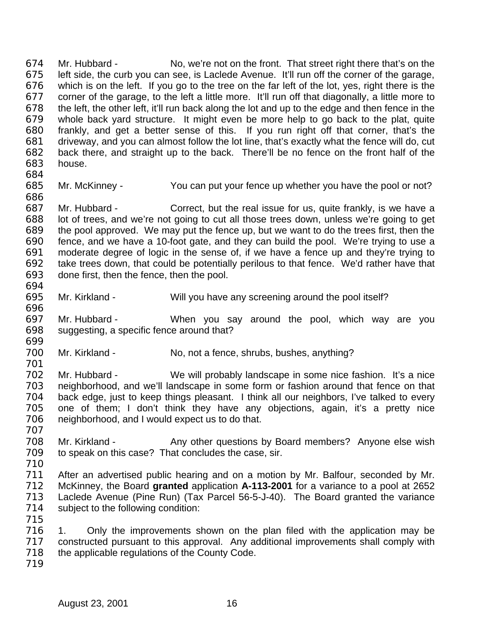674 Mr. Hubbard - No, we're not on the front. That street right there that's on the 675 left side. the curb vou can see. is Laclede Avenue. It'll run off the corner of the garage. left side, the curb you can see, is Laclede Avenue. It'll run off the corner of the garage, which is on the left. If you go to the tree on the far left of the lot, yes, right there is the corner of the garage, to the left a little more. It'll run off that diagonally, a little more to the left, the other left, it'll run back along the lot and up to the edge and then fence in the whole back yard structure. It might even be more help to go back to the plat, quite frankly, and get a better sense of this. If you run right off that corner, that's the driveway, and you can almost follow the lot line, that's exactly what the fence will do, cut back there, and straight up to the back. There'll be no fence on the front half of the house.

Mr. McKinney - You can put your fence up whether you have the pool or not?

 Mr. Hubbard - Correct, but the real issue for us, quite frankly, is we have a lot of trees, and we're not going to cut all those trees down, unless we're going to get the pool approved. We may put the fence up, but we want to do the trees first, then the fence, and we have a 10-foot gate, and they can build the pool. We're trying to use a moderate degree of logic in the sense of, if we have a fence up and they're trying to take trees down, that could be potentially perilous to that fence. We'd rather have that done first, then the fence, then the pool. 

- Mr. Kirkland Will you have any screening around the pool itself?
- Mr. Hubbard When you say around the pool, which way are you suggesting, a specific fence around that?
- Mr. Kirkland No, not a fence, shrubs, bushes, anything?
- Mr. Hubbard We will probably landscape in some nice fashion. It's a nice neighborhood, and we'll landscape in some form or fashion around that fence on that 704 back edge, just to keep things pleasant. I think all our neighbors, I've talked to every<br>705 one of them: I don't think they have any objections, again, it's a pretty nice one of them; I don't think they have any objections, again, it's a pretty nice neighborhood, and I would expect us to do that.
- 708 Mr. Kirkland Any other questions by Board members? Anyone else wish to speak on this case? That concludes the case, sir.
- 
- After an advertised public hearing and on a motion by Mr. Balfour, seconded by Mr. McKinney, the Board **granted** application **A-113-2001** for a variance to a pool at 2652 Laclede Avenue (Pine Run) (Tax Parcel 56-5-J-40). The Board granted the variance subject to the following condition:
- 
- 1. Only the improvements shown on the plan filed with the application may be constructed pursuant to this approval. Any additional improvements shall comply with the applicable regulations of the County Code.
-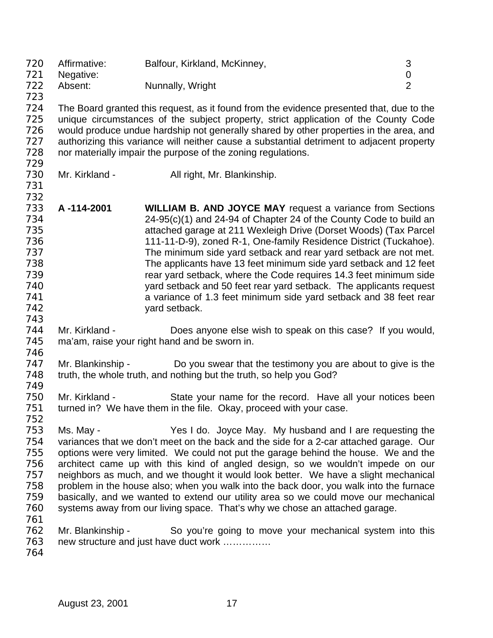Affirmative: Balfour, Kirkland, McKinney, 3 Negative: 0 The Absent: Nunnally, Wright 2 2 The Board granted this request, as it found from the evidence presented that, due to the unique circumstances of the subject property, strict application of the County Code would produce undue hardship not generally shared by other properties in the area, and 727 authorizing this variance will neither cause a substantial detriment to adjacent property nor materially impair the purpose of the zoning regulations. 730 Mr. Kirkland - All right, Mr. Blankinship. **A -114-2001 WILLIAM B. AND JOYCE MAY** request a variance from Sections 24-95(c)(1) and 24-94 of Chapter 24 of the County Code to build an attached garage at 211 Wexleigh Drive (Dorset Woods) (Tax Parcel 111-11-D-9), zoned R-1, One-family Residence District (Tuckahoe). The minimum side yard setback and rear yard setback are not met. The applicants have 13 feet minimum side yard setback and 12 feet rear yard setback, where the Code requires 14.3 feet minimum side yard setback and 50 feet rear yard setback. The applicants request a variance of 1.3 feet minimum side yard setback and 38 feet rear yard setback. Mr. Kirkland - Does anyone else wish to speak on this case? If you would, ma'am, raise your right hand and be sworn in. 747 Mr. Blankinship - Do you swear that the testimony you are about to give is the 748 truth, the whole truth, and nothing but the truth, so help you God? 750 Mr. Kirkland - State your name for the record. Have all your notices been<br>751 turned in? We have them in the file. Okav. proceed with your case. turned in? We have them in the file. Okay, proceed with your case. Ms. May - Yes I do. Joyce May. My husband and I are requesting the variances that we don't meet on the back and the side for a 2-car attached garage. Our options were very limited. We could not put the garage behind the house. We and the architect came up with this kind of angled design, so we wouldn't impede on our neighbors as much, and we thought it would look better. We have a slight mechanical problem in the house also; when you walk into the back door, you walk into the furnace basically, and we wanted to extend our utility area so we could move our mechanical systems away from our living space. That's why we chose an attached garage. Mr. Blankinship - So you're going to move your mechanical system into this new structure and just have duct work ……………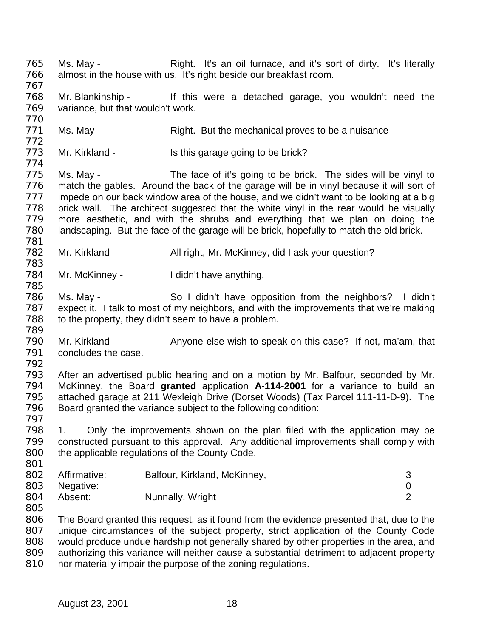Ms. May - Right. It's an oil furnace, and it's sort of dirty. It's literally almost in the house with us. It's right beside our breakfast room. Mr. Blankinship - If this were a detached garage, you wouldn't need the variance, but that wouldn't work. 771 Ms. May - Right. But the mechanical proves to be a nuisance 773 Mr. Kirkland - Is this garage going to be brick? Ms. May - The face of it's going to be brick. The sides will be vinyl to match the gables. Around the back of the garage will be in vinyl because it will sort of 777 impede on our back window area of the house, and we didn't want to be looking at a big brick wall. The architect suggested that the white vinyl in the rear would be visually more aesthetic, and with the shrubs and everything that we plan on doing the landscaping. But the face of the garage will be brick, hopefully to match the old brick. 782 Mr. Kirkland - All right, Mr. McKinney, did I ask your question? 784 Mr. McKinney - I didn't have anything. Ms. May - So I didn't have opposition from the neighbors? I didn't expect it. I talk to most of my neighbors, and with the improvements that we're making to the property, they didn't seem to have a problem. Mr. Kirkland - Anyone else wish to speak on this case? If not, ma'am, that concludes the case. After an advertised public hearing and on a motion by Mr. Balfour, seconded by Mr. McKinney, the Board **granted** application **A-114-2001** for a variance to build an attached garage at 211 Wexleigh Drive (Dorset Woods) (Tax Parcel 111-11-D-9). The Board granted the variance subject to the following condition: 1. Only the improvements shown on the plan filed with the application may be constructed pursuant to this approval. Any additional improvements shall comply with 800 the applicable regulations of the County Code. 802 Affirmative: Balfour, Kirkland, McKinney, 3 Negative: 0 804 Absent: Nunnally, Wright The Board granted this request, as it found from the evidence presented that, due to the unique circumstances of the subject property, strict application of the County Code would produce undue hardship not generally shared by other properties in the area, and authorizing this variance will neither cause a substantial detriment to adjacent property nor materially impair the purpose of the zoning regulations.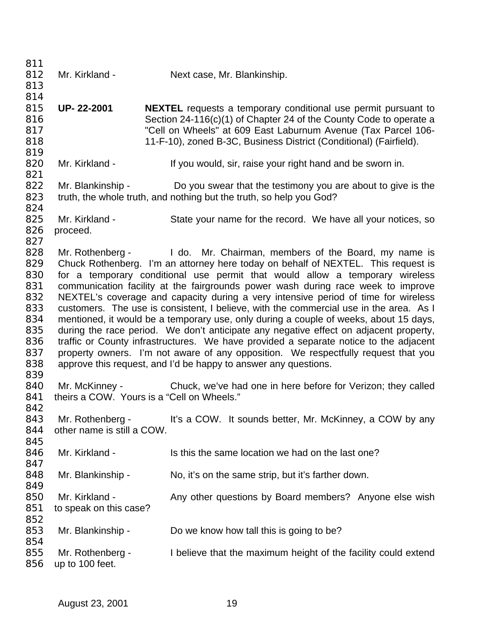812 Mr. Kirkland - Next case, Mr. Blankinship. **UP- 22-2001 NEXTEL** requests a temporary conditional use permit pursuant to Section 24-116(c)(1) of Chapter 24 of the County Code to operate a "Cell on Wheels" at 609 East Laburnum Avenue (Tax Parcel 106- 11-F-10), zoned B-3C, Business District (Conditional) (Fairfield). 820 Mr. Kirkland - If you would, sir, raise your right hand and be sworn in. 822 Mr. Blankinship - Do you swear that the testimony you are about to give is the truth, the whole truth, and nothing but the truth, so help you God? Mr. Kirkland - State your name for the record. We have all your notices, so proceed. 828 Mr. Rothenberg - I do. Mr. Chairman, members of the Board, my name is Chuck Rothenberg. I'm an attorney here today on behalf of NEXTEL. This request is for a temporary conditional use permit that would allow a temporary wireless 831 communication facility at the fairgrounds power wash during race week to improve<br>832 NEXTEL's coverage and capacity during a very intensive period of time for wireless NEXTEL's coverage and capacity during a very intensive period of time for wireless customers. The use is consistent, I believe, with the commercial use in the area. As I mentioned, it would be a temporary use, only during a couple of weeks, about 15 days, during the race period. We don't anticipate any negative effect on adjacent property, traffic or County infrastructures. We have provided a separate notice to the adjacent 837 property owners. I'm not aware of any opposition. We respectfully request that you approve this request, and I'd be happy to answer any questions. Mr. McKinney - Chuck, we've had one in here before for Verizon; they called 841 theirs a COW. Yours is a "Cell on Wheels." 843 Mr. Rothenberg - It's a COW. It sounds better, Mr. McKinney, a COW by any other name is still a COW. 846 Mr. Kirkland - Is this the same location we had on the last one? 848 Mr. Blankinship - No, it's on the same strip, but it's farther down. 850 Mr. Kirkland - Any other questions by Board members? Anyone else wish to speak on this case? 853 Mr. Blankinship - Do we know how tall this is going to be? 855 Mr. Rothenberg - I believe that the maximum height of the facility could extend up to 100 feet.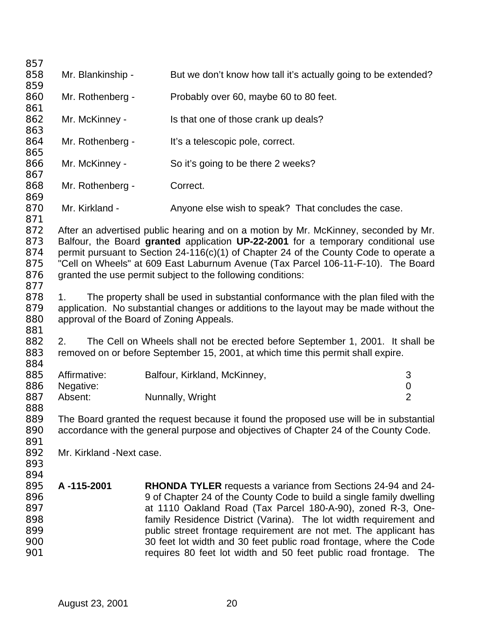858 Mr. Blankinship - But we don't know how tall it's actually going to be extended? Mr. Rothenberg - Probably over 60, maybe 60 to 80 feet. 862 Mr. McKinney - Is that one of those crank up deals? 864 Mr. Rothenberg - It's a telescopic pole, correct. Mr. McKinney - So it's going to be there 2 weeks? 868 Mr. Rothenberg - Correct. 870 Mr. Kirkland - Anyone else wish to speak? That concludes the case. After an advertised public hearing and on a motion by Mr. McKinney, seconded by Mr. Balfour, the Board **granted** application **UP-22-2001** for a temporary conditional use permit pursuant to Section 24-116(c)(1) of Chapter 24 of the County Code to operate a "Cell on Wheels" at 609 East Laburnum Avenue (Tax Parcel 106-11-F-10). The Board 876 granted the use permit subject to the following conditions: 1. The property shall be used in substantial conformance with the plan filed with the application. No substantial changes or additions to the layout may be made without the approval of the Board of Zoning Appeals. 2. The Cell on Wheels shall not be erected before September 1, 2001. It shall be removed on or before September 15, 2001, at which time this permit shall expire. 885 Affirmative: Balfour, Kirkland, McKinney, 3 Negative: 0 887 Absent: Nunnally, Wright 2 The Board granted the request because it found the proposed use will be in substantial accordance with the general purpose and objectives of Chapter 24 of the County Code. Mr. Kirkland -Next case. **A -115-2001 RHONDA TYLER** requests a variance from Sections 24-94 and 24- 896 896 9 of Chapter 24 of the County Code to build a single family dwelling at 1110 Oakland Road (Tax Parcel 180-A-90), zoned R-3, One- family Residence District (Varina). The lot width requirement and public street frontage requirement are not met. The applicant has 30 feet lot width and 30 feet public road frontage, where the Code requires 80 feet lot width and 50 feet public road frontage. The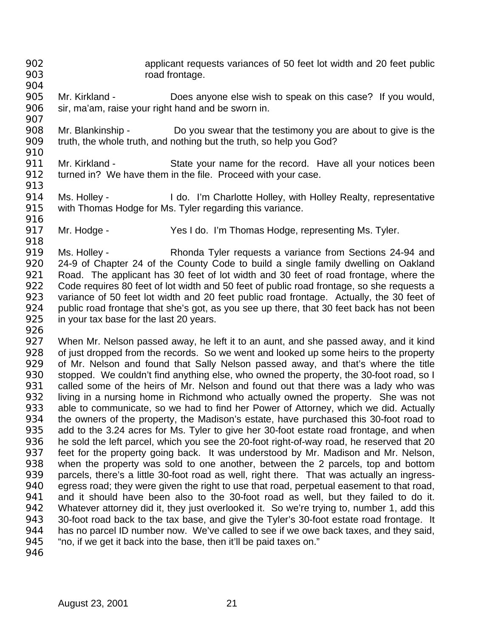- applicant requests variances of 50 feet lot width and 20 feet public 903 road frontage.
- Mr. Kirkland - Does anyone else wish to speak on this case? If you would, sir, ma'am, raise your right hand and be sworn in.
- Mr. Blankinship Do you swear that the testimony you are about to give is the truth, the whole truth, and nothing but the truth, so help you God?
- Mr. Kirkland State your name for the record. Have all your notices been 912 turned in? We have them in the file. Proceed with your case.
- 

- Ms. Holley I do. I'm Charlotte Holley, with Holley Realty, representative with Thomas Hodge for Ms. Tyler regarding this variance.
- Mr. Hodge Yes I do. I'm Thomas Hodge, representing Ms. Tyler.
- Ms. Holley Rhonda Tyler requests a variance from Sections 24-94 and 24-9 of Chapter 24 of the County Code to build a single family dwelling on Oakland Road. The applicant has 30 feet of lot width and 30 feet of road frontage, where the 922 Code requires 80 feet of lot width and 50 feet of public road frontage, so she requests a variance of 50 feet lot width and 20 feet public road frontage. Actually, the 30 feet of public road frontage that she's got, as you see up there, that 30 feet back has not been 925 in your tax base for the last 20 years.
- 

 When Mr. Nelson passed away, he left it to an aunt, and she passed away, and it kind of just dropped from the records. So we went and looked up some heirs to the property of Mr. Nelson and found that Sally Nelson passed away, and that's where the title 930 stopped. We couldn't find anything else, who owned the property, the 30-foot road, so I called some of the heirs of Mr. Nelson and found out that there was a lady who was 932 living in a nursing home in Richmond who actually owned the property. She was not 933 able to communicate, so we had to find her Power of Attorney, which we did. Actually able to communicate, so we had to find her Power of Attorney, which we did. Actually the owners of the property, the Madison's estate, have purchased this 30-foot road to add to the 3.24 acres for Ms. Tyler to give her 30-foot estate road frontage, and when he sold the left parcel, which you see the 20-foot right-of-way road, he reserved that 20 feet for the property going back. It was understood by Mr. Madison and Mr. Nelson, when the property was sold to one another, between the 2 parcels, top and bottom parcels, there's a little 30-foot road as well, right there. That was actually an ingress- egress road; they were given the right to use that road, perpetual easement to that road, and it should have been also to the 30-foot road as well, but they failed to do it. 942 Whatever attorney did it, they just overlooked it. So we're trying to, number 1, add this 30-foot road back to the tax base, and give the Tyler's 30-foot estate road frontage. It has no parcel ID number now. We've called to see if we owe back taxes, and they said, "no, if we get it back into the base, then it'll be paid taxes on."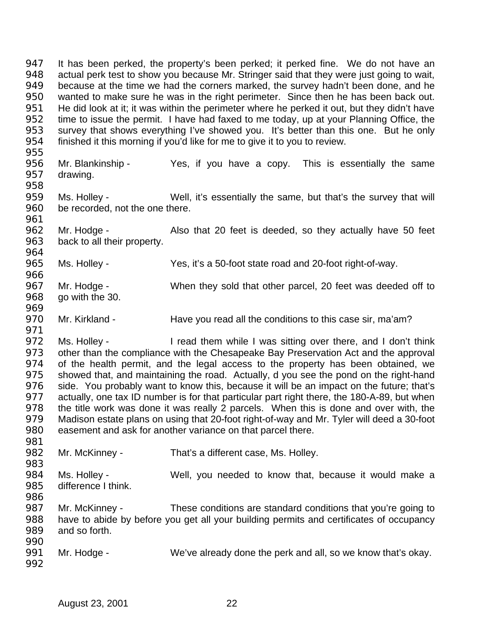It has been perked, the property's been perked; it perked fine. We do not have an actual perk test to show you because Mr. Stringer said that they were just going to wait, because at the time we had the corners marked, the survey hadn't been done, and he wanted to make sure he was in the right perimeter. Since then he has been back out. He did look at it; it was within the perimeter where he perked it out, but they didn't have time to issue the permit. I have had faxed to me today, up at your Planning Office, the survey that shows everything I've showed you. It's better than this one. But he only finished it this morning if you'd like for me to give it to you to review. 

- Mr. Blankinship Yes, if you have a copy. This is essentially the same drawing.
- Ms. Holley Well, it's essentially the same, but that's the survey that will be recorded, not the one there.
- Mr. Hodge Also that 20 feet is deeded, so they actually have 50 feet back to all their property.
- Ms. Holley Yes, it's a 50-foot state road and 20-foot right-of-way.
- Mr. Hodge When they sold that other parcel, 20 feet was deeded off to go with the 30.
- Mr. Kirkland Have you read all the conditions to this case sir, ma'am?

972 Ms. Holley - I read them while I was sitting over there, and I don't think 973 other than the compliance with the Chesapeake Bay Preservation Act and the approval of the health permit, and the legal access to the property has been obtained, we showed that, and maintaining the road. Actually, d you see the pond on the right-hand side. You probably want to know this, because it will be an impact on the future; that's 977 actually, one tax ID number is for that particular part right there, the 180-A-89, but when<br>978 the title work was done it was really 2 parcels. When this is done and over with, the the title work was done it was really 2 parcels. When this is done and over with, the Madison estate plans on using that 20-foot right-of-way and Mr. Tyler will deed a 30-foot easement and ask for another variance on that parcel there.

- 982 Mr. McKinney That's a different case, Ms. Holley.
- Ms. Holley - Well, you needed to know that, because it would make a difference I think.
- Mr. McKinney These conditions are standard conditions that you're going to have to abide by before you get all your building permits and certificates of occupancy and so forth.
- Mr. Hodge We've already done the perk and all, so we know that's okay.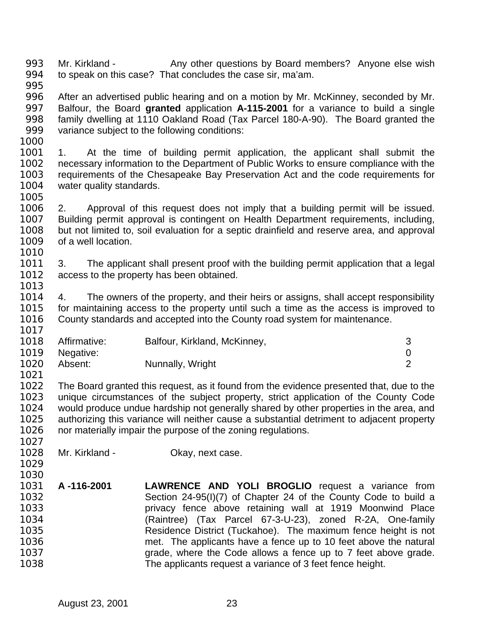993 Mr. Kirkland - Any other questions by Board members? Anyone else wish to speak on this case? That concludes the case sir, ma'am. 

- After an advertised public hearing and on a motion by Mr. McKinney, seconded by Mr. Balfour, the Board **granted** application **A-115-2001** for a variance to build a single family dwelling at 1110 Oakland Road (Tax Parcel 180-A-90). The Board granted the variance subject to the following conditions:
- 

 1. At the time of building permit application, the applicant shall submit the necessary information to the Department of Public Works to ensure compliance with the requirements of the Chesapeake Bay Preservation Act and the code requirements for 1004 water quality standards.

 2. Approval of this request does not imply that a building permit will be issued. Building permit approval is contingent on Health Department requirements, including, but not limited to, soil evaluation for a septic drainfield and reserve area, and approval of a well location. 

 3. The applicant shall present proof with the building permit application that a legal 1012 access to the property has been obtained. 

 4. The owners of the property, and their heirs or assigns, shall accept responsibility for maintaining access to the property until such a time as the access is improved to County standards and accepted into the County road system for maintenance. 

| 1018 | Affirmative: | Balfour, Kirkland, McKinney, |  |
|------|--------------|------------------------------|--|
| 1019 | Negative:    |                              |  |
| 1020 | Absent:      | Nunnally, Wright             |  |

 The Board granted this request, as it found from the evidence presented that, due to the 1023 unique circumstances of the subject property, strict application of the County Code<br>1024 would produce undue hardship not generally shared by other properties in the area, and would produce undue hardship not generally shared by other properties in the area, and authorizing this variance will neither cause a substantial detriment to adjacent property nor materially impair the purpose of the zoning regulations. 

1028 Mr. Kirkland - Okay, next case.

 

 **A -116-2001 LAWRENCE AND YOLI BROGLIO** request a variance from Section 24-95(I)(7) of Chapter 24 of the County Code to build a privacy fence above retaining wall at 1919 Moonwind Place (Raintree) (Tax Parcel 67-3-U-23), zoned R-2A, One-family Residence District (Tuckahoe). The maximum fence height is not met. The applicants have a fence up to 10 feet above the natural grade, where the Code allows a fence up to 7 feet above grade. The applicants request a variance of 3 feet fence height.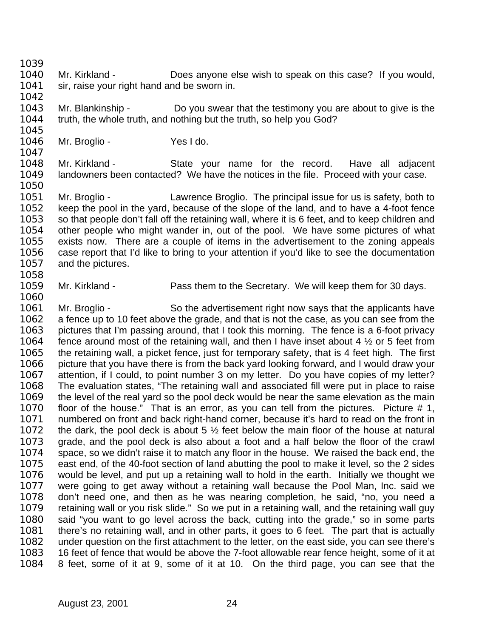Mr. Kirkland - Does anyone else wish to speak on this case? If you would, 1041 sir, raise your right hand and be sworn in.

 Mr. Blankinship - Do you swear that the testimony you are about to give is the truth, the whole truth, and nothing but the truth, so help you God? 

1046 Mr. Broglio - Yes I do. 

 Mr. Kirkland - State your name for the record. Have all adjacent landowners been contacted? We have the notices in the file. Proceed with your case. 

 Mr. Broglio - Lawrence Broglio. The principal issue for us is safety, both to keep the pool in the yard, because of the slope of the land, and to have a 4-foot fence 1053 so that people don't fall off the retaining wall, where it is 6 feet, and to keep children and other people who might wander in, out of the pool. We have some pictures of what exists now. There are a couple of items in the advertisement to the zoning appeals case report that I'd like to bring to your attention if you'd like to see the documentation and the pictures. 

Mr. Kirkland - Pass them to the Secretary. We will keep them for 30 days.

1061 Mr. Broglio - So the advertisement right now says that the applicants have a fence up to 10 feet above the grade, and that is not the case, as you can see from the pictures that I'm passing around, that I took this morning. The fence is a 6-foot privacy 1064 fence around most of the retaining wall, and then I have inset about 4  $\frac{1}{2}$  or 5 feet from the retaining wall, a picket fence, just for temporary safety, that is 4 feet high. The first picture that you have there is from the back yard looking forward, and I would draw your attention, if I could, to point number 3 on my letter. Do you have copies of my letter? The evaluation states, "The retaining wall and associated fill were put in place to raise the level of the real yard so the pool deck would be near the same elevation as the main floor of the house." That is an error, as you can tell from the pictures. Picture # 1, numbered on front and back right-hand corner, because it's hard to read on the front in 1072 the dark, the pool deck is about 5  $\frac{1}{2}$  feet below the main floor of the house at natural grade, and the pool deck is also about a foot and a half below the floor of the crawl space, so we didn't raise it to match any floor in the house. We raised the back end, the east end, of the 40-foot section of land abutting the pool to make it level, so the 2 sides would be level, and put up a retaining wall to hold in the earth. Initially we thought we were going to get away without a retaining wall because the Pool Man, Inc. said we don't need one, and then as he was nearing completion, he said, "no, you need a retaining wall or you risk slide." So we put in a retaining wall, and the retaining wall guy said "you want to go level across the back, cutting into the grade," so in some parts there's no retaining wall, and in other parts, it goes to 6 feet. The part that is actually under question on the first attachment to the letter, on the east side, you can see there's 16 feet of fence that would be above the 7-foot allowable rear fence height, some of it at 8 feet, some of it at 9, some of it at 10. On the third page, you can see that the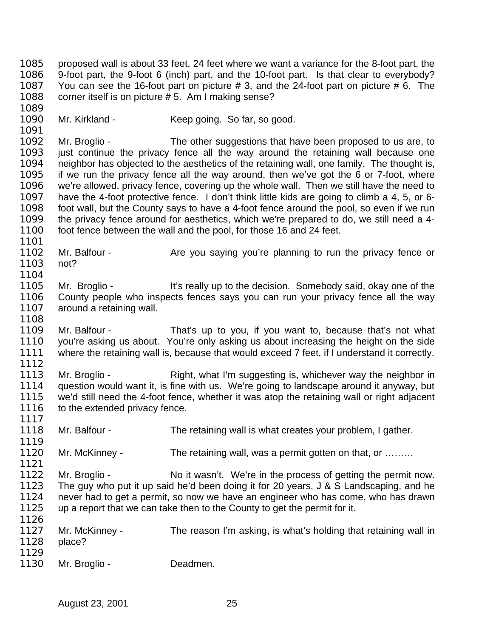proposed wall is about 33 feet, 24 feet where we want a variance for the 8-foot part, the 9-foot part, the 9-foot 6 (inch) part, and the 10-foot part. Is that clear to everybody? You can see the 16-foot part on picture # 3, and the 24-foot part on picture # 6. The corner itself is on picture # 5. Am I making sense? 

1090 Mr. Kirkland - Keep going. So far, so good. 

1092 Mr. Broglio - The other suggestions that have been proposed to us are, to just continue the privacy fence all the way around the retaining wall because one neighbor has objected to the aesthetics of the retaining wall, one family. The thought is, if we run the privacy fence all the way around, then we've got the 6 or 7-foot, where we're allowed, privacy fence, covering up the whole wall. Then we still have the need to have the 4-foot protective fence. I don't think little kids are going to climb a 4, 5, or 6- foot wall, but the County says to have a 4-foot fence around the pool, so even if we run the privacy fence around for aesthetics, which we're prepared to do, we still need a 4- foot fence between the wall and the pool, for those 16 and 24 feet.

- 1102 Mr. Balfour Are you saying you're planning to run the privacy fence or not?
- Mr. Broglio It's really up to the decision. Somebody said, okay one of the County people who inspects fences says you can run your privacy fence all the way 1107 around a retaining wall.
- 

 Mr. Balfour - That's up to you, if you want to, because that's not what you're asking us about. You're only asking us about increasing the height on the side 1111 where the retaining wall is, because that would exceed 7 feet, if I understand it correctly. 

- 1113 Mr. Broglio Right, what I'm suggesting is, whichever way the neighbor in question would want it, is fine with us. We're going to landscape around it anyway, but 1115 we'd still need the 4-foot fence, whether it was atop the retaining wall or right adjacent 1116 to the extended privacy fence. to the extended privacy fence.
- Mr. Balfour The retaining wall is what creates your problem, I gather.
- 1120 Mr. McKinney The retaining wall, was a permit gotten on that, or ………
- 1122 Mr. Broglio No it wasn't. We're in the process of getting the permit now. The guy who put it up said he'd been doing it for 20 years, J & S Landscaping, and he never had to get a permit, so now we have an engineer who has come, who has drawn up a report that we can take then to the County to get the permit for it.
- 1127 Mr. McKinney The reason I'm asking, is what's holding that retaining wall in place?
- 1130 Mr. Broglio Deadmen.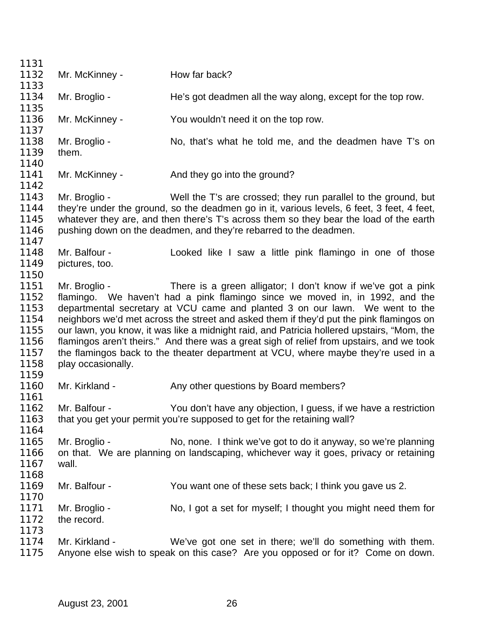| 1131                                                                 |                                     |                                                                                                                                                                                                                                                                                                                                                                                                                                                                                                                                                                                                          |
|----------------------------------------------------------------------|-------------------------------------|----------------------------------------------------------------------------------------------------------------------------------------------------------------------------------------------------------------------------------------------------------------------------------------------------------------------------------------------------------------------------------------------------------------------------------------------------------------------------------------------------------------------------------------------------------------------------------------------------------|
| 1132                                                                 | Mr. McKinney -                      | How far back?                                                                                                                                                                                                                                                                                                                                                                                                                                                                                                                                                                                            |
| 1133                                                                 |                                     |                                                                                                                                                                                                                                                                                                                                                                                                                                                                                                                                                                                                          |
| 1134                                                                 | Mr. Broglio -                       | He's got deadmen all the way along, except for the top row.                                                                                                                                                                                                                                                                                                                                                                                                                                                                                                                                              |
| 1135<br>1136<br>1137                                                 | Mr. McKinney -                      | You wouldn't need it on the top row.                                                                                                                                                                                                                                                                                                                                                                                                                                                                                                                                                                     |
| 1138<br>1139                                                         | Mr. Broglio -<br>them.              | No, that's what he told me, and the deadmen have T's on                                                                                                                                                                                                                                                                                                                                                                                                                                                                                                                                                  |
| 1140                                                                 |                                     |                                                                                                                                                                                                                                                                                                                                                                                                                                                                                                                                                                                                          |
| 1141<br>1142                                                         | Mr. McKinney -                      | And they go into the ground?                                                                                                                                                                                                                                                                                                                                                                                                                                                                                                                                                                             |
| 1143<br>1144<br>1145<br>1146<br>1147                                 | Mr. Broglio -                       | Well the T's are crossed; they run parallel to the ground, but<br>they're under the ground, so the deadmen go in it, various levels, 6 feet, 3 feet, 4 feet,<br>whatever they are, and then there's T's across them so they bear the load of the earth<br>pushing down on the deadmen, and they're rebarred to the deadmen.                                                                                                                                                                                                                                                                              |
| 1148<br>1149<br>1150                                                 | Mr. Balfour -<br>pictures, too.     | Looked like I saw a little pink flamingo in one of those                                                                                                                                                                                                                                                                                                                                                                                                                                                                                                                                                 |
| 1151<br>1152<br>1153<br>1154<br>1155<br>1156<br>1157<br>1158<br>1159 | Mr. Broglio -<br>play occasionally. | There is a green alligator; I don't know if we've got a pink<br>flamingo. We haven't had a pink flamingo since we moved in, in 1992, and the<br>departmental secretary at VCU came and planted 3 on our lawn. We went to the<br>neighbors we'd met across the street and asked them if they'd put the pink flamingos on<br>our lawn, you know, it was like a midnight raid, and Patricia hollered upstairs, "Mom, the<br>flamingos aren't theirs." And there was a great sigh of relief from upstairs, and we took<br>the flamingos back to the theater department at VCU, where maybe they're used in a |
| 1160<br>1161                                                         | Mr. Kirkland -                      | Any other questions by Board members?                                                                                                                                                                                                                                                                                                                                                                                                                                                                                                                                                                    |
| 1162<br>1163<br>1164                                                 | Mr. Balfour -                       | You don't have any objection, I guess, if we have a restriction<br>that you get your permit you're supposed to get for the retaining wall?                                                                                                                                                                                                                                                                                                                                                                                                                                                               |
| 1165<br>1166<br>1167<br>1168                                         | Mr. Broglio -<br>wall.              | No, none. I think we've got to do it anyway, so we're planning<br>on that. We are planning on landscaping, whichever way it goes, privacy or retaining                                                                                                                                                                                                                                                                                                                                                                                                                                                   |
| 1169<br>1170                                                         | Mr. Balfour -                       | You want one of these sets back; I think you gave us 2.                                                                                                                                                                                                                                                                                                                                                                                                                                                                                                                                                  |
| 1171<br>1172<br>1173                                                 | Mr. Broglio -<br>the record.        | No, I got a set for myself; I thought you might need them for                                                                                                                                                                                                                                                                                                                                                                                                                                                                                                                                            |
| 1174<br>1175                                                         | Mr. Kirkland -                      | We've got one set in there; we'll do something with them.<br>Anyone else wish to speak on this case? Are you opposed or for it? Come on down.                                                                                                                                                                                                                                                                                                                                                                                                                                                            |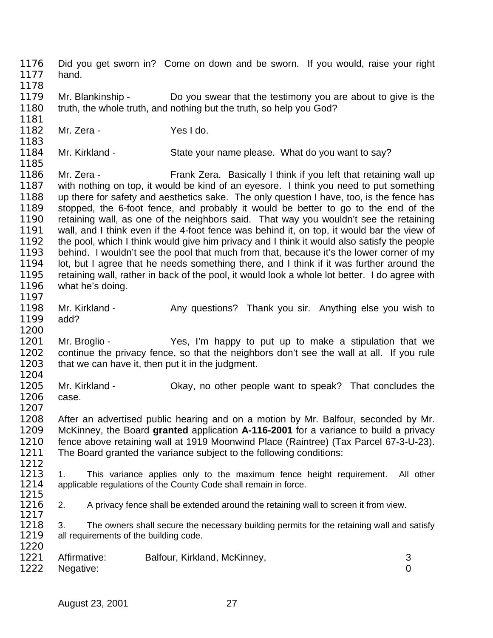Did you get sworn in? Come on down and be sworn. If you would, raise your right hand. Mr. Blankinship - Do you swear that the testimony you are about to give is the truth, the whole truth, and nothing but the truth, so help you God? Mr. Zera - Yes I do. Mr. Kirkland - State your name please. What do you want to say? Mr. Zera - Frank Zera. Basically I think if you left that retaining wall up with nothing on top, it would be kind of an eyesore. I think you need to put something up there for safety and aesthetics sake. The only question I have, too, is the fence has stopped, the 6-foot fence, and probably it would be better to go to the end of the retaining wall, as one of the neighbors said. That way you wouldn't see the retaining wall, and I think even if the 4-foot fence was behind it, on top, it would bar the view of the pool, which I think would give him privacy and I think it would also satisfy the people behind. I wouldn't see the pool that much from that, because it's the lower corner of my 1194 lot, but I agree that he needs something there, and I think if it was further around the retaining wall, rather in back of the pool, it would look a whole lot better. I do agree with what he's doing. 1198 Mr. Kirkland - Any questions? Thank you sir. Anything else you wish to add? Mr. Broglio - Yes, I'm happy to put up to make a stipulation that we continue the privacy fence, so that the neighbors don't see the wall at all. If you rule 1203 that we can have it, then put it in the judgment. 1205 Mr. Kirkland - Okay, no other people want to speak? That concludes the case. After an advertised public hearing and on a motion by Mr. Balfour, seconded by Mr. McKinney, the Board **granted** application **A-116-2001** for a variance to build a privacy fence above retaining wall at 1919 Moonwind Place (Raintree) (Tax Parcel 67-3-U-23). The Board granted the variance subject to the following conditions:  $\frac{1212}{1213}$ 1213 1. This variance applies only to the maximum fence height requirement. All other 1214 applicable requiations of the County Code shall remain in force. applicable regulations of the County Code shall remain in force.  $\frac{1215}{1216}$ 2. A privacy fence shall be extended around the retaining wall to screen it from view. 1218 3. The owners shall secure the necessary building permits for the retaining wall and satisfy 1219 all requirements of the building code. all requirements of the building code. 1221 Affirmative: Balfour, Kirkland, McKinney, 3<br>1222 Negative: 0 Negative: 0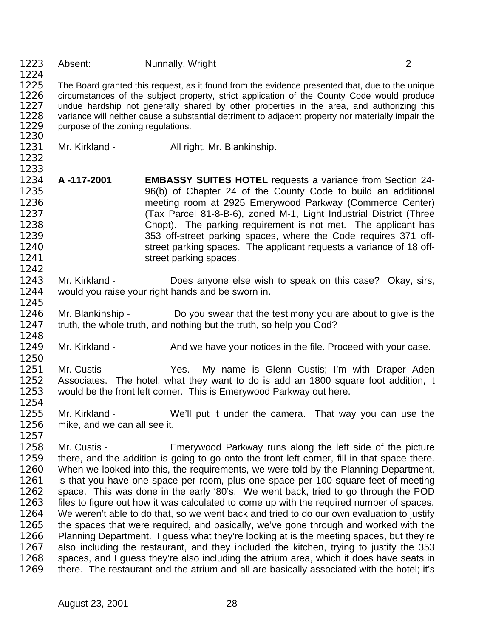| 1223<br>1224                                                                                 | Absent:                                        | Nunnally, Wright                                                                                                                                                                                                                                                                                                                                                                                                                                                                                                                                                                                                                                                                                                                                                                                                                                                                                                                                                                                                                                                                              | 2 |
|----------------------------------------------------------------------------------------------|------------------------------------------------|-----------------------------------------------------------------------------------------------------------------------------------------------------------------------------------------------------------------------------------------------------------------------------------------------------------------------------------------------------------------------------------------------------------------------------------------------------------------------------------------------------------------------------------------------------------------------------------------------------------------------------------------------------------------------------------------------------------------------------------------------------------------------------------------------------------------------------------------------------------------------------------------------------------------------------------------------------------------------------------------------------------------------------------------------------------------------------------------------|---|
| 1225<br>1226<br>1227<br>1228<br>1229<br>1230                                                 | purpose of the zoning regulations.             | The Board granted this request, as it found from the evidence presented that, due to the unique<br>circumstances of the subject property, strict application of the County Code would produce<br>undue hardship not generally shared by other properties in the area, and authorizing this<br>variance will neither cause a substantial detriment to adjacent property nor materially impair the                                                                                                                                                                                                                                                                                                                                                                                                                                                                                                                                                                                                                                                                                              |   |
| 1231<br>1232<br>1233                                                                         | Mr. Kirkland -                                 | All right, Mr. Blankinship.                                                                                                                                                                                                                                                                                                                                                                                                                                                                                                                                                                                                                                                                                                                                                                                                                                                                                                                                                                                                                                                                   |   |
| 1234<br>1235<br>1236<br>1237<br>1238<br>1239<br>1240<br>1241<br>1242                         | A-117-2001                                     | <b>EMBASSY SUITES HOTEL requests a variance from Section 24-</b><br>96(b) of Chapter 24 of the County Code to build an additional<br>meeting room at 2925 Emerywood Parkway (Commerce Center)<br>(Tax Parcel 81-8-B-6), zoned M-1, Light Industrial District (Three<br>Chopt). The parking requirement is not met. The applicant has<br>353 off-street parking spaces, where the Code requires 371 off-<br>street parking spaces. The applicant requests a variance of 18 off-<br>street parking spaces.                                                                                                                                                                                                                                                                                                                                                                                                                                                                                                                                                                                      |   |
| 1243<br>1244<br>1245                                                                         | Mr. Kirkland -                                 | Does anyone else wish to speak on this case? Okay, sirs,<br>would you raise your right hands and be sworn in.                                                                                                                                                                                                                                                                                                                                                                                                                                                                                                                                                                                                                                                                                                                                                                                                                                                                                                                                                                                 |   |
| 1246<br>1247<br>1248                                                                         | Mr. Blankinship -                              | Do you swear that the testimony you are about to give is the<br>truth, the whole truth, and nothing but the truth, so help you God?                                                                                                                                                                                                                                                                                                                                                                                                                                                                                                                                                                                                                                                                                                                                                                                                                                                                                                                                                           |   |
| 1249<br>1250                                                                                 | Mr. Kirkland -                                 | And we have your notices in the file. Proceed with your case.                                                                                                                                                                                                                                                                                                                                                                                                                                                                                                                                                                                                                                                                                                                                                                                                                                                                                                                                                                                                                                 |   |
| 1251<br>1252<br>1253<br>1254                                                                 | Mr. Custis -                                   | My name is Glenn Custis; I'm with Draper Aden<br>Yes.<br>Associates. The hotel, what they want to do is add an 1800 square foot addition, it<br>would be the front left corner. This is Emerywood Parkway out here.                                                                                                                                                                                                                                                                                                                                                                                                                                                                                                                                                                                                                                                                                                                                                                                                                                                                           |   |
| 1255<br>1256<br>1257                                                                         | Mr. Kirkland -<br>mike, and we can all see it. | We'll put it under the camera. That way you can use the                                                                                                                                                                                                                                                                                                                                                                                                                                                                                                                                                                                                                                                                                                                                                                                                                                                                                                                                                                                                                                       |   |
| 1258<br>1259<br>1260<br>1261<br>1262<br>1263<br>1264<br>1265<br>1266<br>1267<br>1268<br>1269 | Mr. Custis -                                   | Emerywood Parkway runs along the left side of the picture<br>there, and the addition is going to go onto the front left corner, fill in that space there.<br>When we looked into this, the requirements, we were told by the Planning Department,<br>is that you have one space per room, plus one space per 100 square feet of meeting<br>space. This was done in the early '80's. We went back, tried to go through the POD<br>files to figure out how it was calculated to come up with the required number of spaces.<br>We weren't able to do that, so we went back and tried to do our own evaluation to justify<br>the spaces that were required, and basically, we've gone through and worked with the<br>Planning Department. I guess what they're looking at is the meeting spaces, but they're<br>also including the restaurant, and they included the kitchen, trying to justify the 353<br>spaces, and I guess they're also including the atrium area, which it does have seats in<br>there. The restaurant and the atrium and all are basically associated with the hotel; it's |   |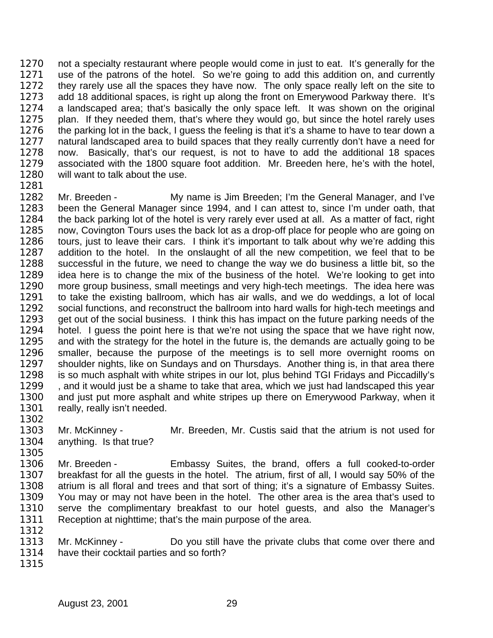1270 not a specialty restaurant where people would come in just to eat. It's generally for the use of the patrons of the hotel. So we're going to add this addition on, and currently 1272 they rarely use all the spaces they have now. The only space really left on the site to add 18 additional spaces, is right up along the front on Emerywood Parkway there. It's a landscaped area; that's basically the only space left. It was shown on the original plan. If they needed them, that's where they would go, but since the hotel rarely uses 1276 the parking lot in the back, I guess the feeling is that it's a shame to have to tear down a 1277 natural landscaped area to build spaces that they really currently don't have a need for now. Basically, that's our request, is not to have to add the additional 18 spaces associated with the 1800 square foot addition. Mr. Breeden here, he's with the hotel, will want to talk about the use.

 Mr. Breeden - My name is Jim Breeden; I'm the General Manager, and I've been the General Manager since 1994, and I can attest to, since I'm under oath, that the back parking lot of the hotel is very rarely ever used at all. As a matter of fact, right now, Covington Tours uses the back lot as a drop-off place for people who are going on tours, just to leave their cars. I think it's important to talk about why we're adding this addition to the hotel. In the onslaught of all the new competition, we feel that to be successful in the future, we need to change the way we do business a little bit, so the idea here is to change the mix of the business of the hotel. We're looking to get into more group business, small meetings and very high-tech meetings. The idea here was to take the existing ballroom, which has air walls, and we do weddings, a lot of local 1292 social functions, and reconstruct the ballroom into hard walls for high-tech meetings and 1293 get out of the social business. I think this has impact on the future parking needs of the hotel. I guess the point here is that we're not using the space that we have right now, and with the strategy for the hotel in the future is, the demands are actually going to be smaller, because the purpose of the meetings is to sell more overnight rooms on shoulder nights, like on Sundays and on Thursdays. Another thing is, in that area there is so much asphalt with white stripes in our lot, plus behind TGI Fridays and Piccadilly's , and it would just be a shame to take that area, which we just had landscaped this year and just put more asphalt and white stripes up there on Emerywood Parkway, when it 1301 really, really isn't needed.

 Mr. McKinney - Mr. Breeden, Mr. Custis said that the atrium is not used for anything. Is that true?

- Mr. Breeden - Embassy Suites, the brand, offers a full cooked-to-order breakfast for all the guests in the hotel. The atrium, first of all, I would say 50% of the atrium is all floral and trees and that sort of thing; it's a signature of Embassy Suites. You may or may not have been in the hotel. The other area is the area that's used to serve the complimentary breakfast to our hotel guests, and also the Manager's Reception at nighttime; that's the main purpose of the area.
- 1313 Mr. McKinney Do you still have the private clubs that come over there and have their cocktail parties and so forth?
-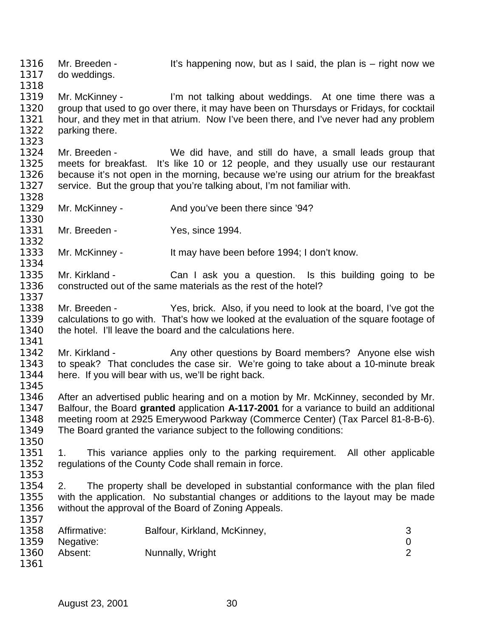1316 Mr. Breeden - It's happening now, but as I said, the plan is – right now we do weddings. 1319 Mr. McKinney - I'm not talking about weddings. At one time there was a group that used to go over there, it may have been on Thursdays or Fridays, for cocktail hour, and they met in that atrium. Now I've been there, and I've never had any problem parking there. Mr. Breeden - We did have, and still do have, a small leads group that meets for breakfast. It's like 10 or 12 people, and they usually use our restaurant because it's not open in the morning, because we're using our atrium for the breakfast service. But the group that you're talking about, I'm not familiar with. 1329 Mr. McKinney - And you've been there since '94? 1331 Mr. Breeden - Yes, since 1994. Mr. McKinney - It may have been before 1994; I don't know. 1335 Mr. Kirkland - Can I ask you a question. Is this building going to be constructed out of the same materials as the rest of the hotel? Mr. Breeden - Yes, brick. Also, if you need to look at the board, I've got the calculations to go with. That's how we looked at the evaluation of the square footage of 1340 the hotel. I'll leave the board and the calculations here. 1342 Mr. Kirkland - Any other questions by Board members? Anyone else wish to speak? That concludes the case sir. We're going to take about a 10-minute break here. If you will bear with us, we'll be right back. 1346 After an advertised public hearing and on a motion by Mr. McKinney, seconded by Mr.<br>1347 Balfour, the Board **granted** application A-117-2001 for a variance to build an additional Balfour, the Board **granted** application **A-117-2001** for a variance to build an additional meeting room at 2925 Emerywood Parkway (Commerce Center) (Tax Parcel 81-8-B-6). The Board granted the variance subject to the following conditions: 1. This variance applies only to the parking requirement. All other applicable regulations of the County Code shall remain in force. 2. The property shall be developed in substantial conformance with the plan filed with the application. No substantial changes or additions to the layout may be made without the approval of the Board of Zoning Appeals. 1358 Affirmative: Balfour, Kirkland, McKinney, 3 Negative: 0 1360 Absent: Nunnally, Wright 2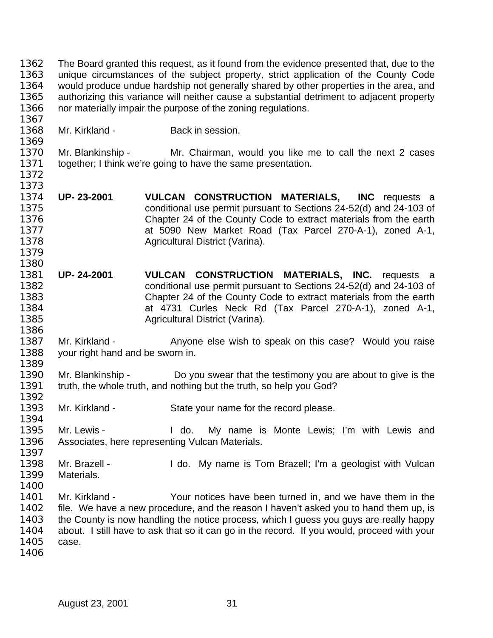The Board granted this request, as it found from the evidence presented that, due to the unique circumstances of the subject property, strict application of the County Code would produce undue hardship not generally shared by other properties in the area, and authorizing this variance will neither cause a substantial detriment to adjacent property nor materially impair the purpose of the zoning regulations.

Mr. Kirkland - Back in session.

 Mr. Blankinship - Mr. Chairman, would you like me to call the next 2 cases together; I think we're going to have the same presentation. 

- **UP- 23-2001 VULCAN CONSTRUCTION MATERIALS, INC** requests a conditional use permit pursuant to Sections 24-52(d) and 24-103 of Chapter 24 of the County Code to extract materials from the earth at 5090 New Market Road (Tax Parcel 270-A-1), zoned A-1, Agricultural District (Varina).
- **UP- 24-2001 VULCAN CONSTRUCTION MATERIALS, INC.** requests a conditional use permit pursuant to Sections 24-52(d) and 24-103 of Chapter 24 of the County Code to extract materials from the earth at 4731 Curles Neck Rd (Tax Parcel 270-A-1), zoned A-1, Agricultural District (Varina).
- 1387 Mr. Kirkland Anyone else wish to speak on this case? Would you raise your right hand and be sworn in.
- Mr. Blankinship Do you swear that the testimony you are about to give is the 1391 truth, the whole truth, and nothing but the truth, so help you God?
- 1392<br>1393 Mr. Kirkland - State your name for the record please.
- Mr. Lewis I do. My name is Monte Lewis; I'm with Lewis and Associates, here representing Vulcan Materials.
- 1398 Mr. Brazell - I do. My name is Tom Brazell; I'm a geologist with Vulcan Materials.
- 

 

- Mr. Kirkland Your notices have been turned in, and we have them in the 1402 file. We have a new procedure, and the reason I haven't asked you to hand them up, is the County is now handling the notice process, which I guess you guys are really happy about. I still have to ask that so it can go in the record. If you would, proceed with your case.
-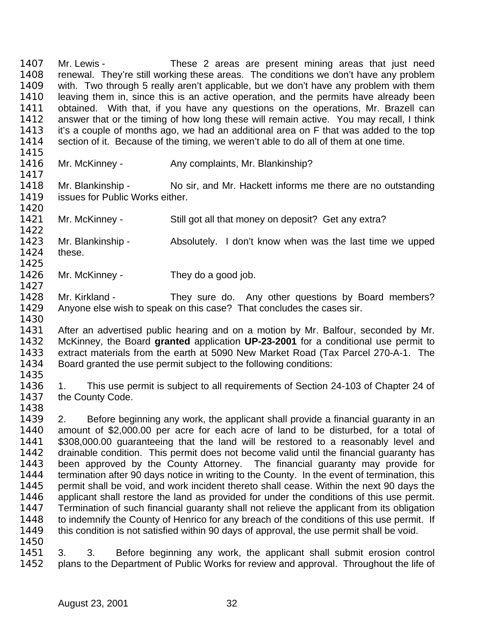1407 Mr. Lewis - These 2 areas are present mining areas that just need renewal. They're still working these areas. The conditions we don't have any problem with. Two through 5 really aren't applicable, but we don't have any problem with them leaving them in, since this is an active operation, and the permits have already been obtained. With that, if you have any questions on the operations, Mr. Brazell can answer that or the timing of how long these will remain active. You may recall, I think it's a couple of months ago, we had an additional area on F that was added to the top section of it. Because of the timing, we weren't able to do all of them at one time.

- 1416 Mr. McKinney Any complaints, Mr. Blankinship?
- Mr. Blankinship No sir, and Mr. Hackett informs me there are no outstanding 1419 issues for Public Works either.
- 1421 Mr. McKinney Still got all that money on deposit? Get any extra?
- Mr. Blankinship Absolutely. I don't know when was the last time we upped these.
- 1426 Mr. McKinney They do a good job.
- Mr. Kirkland They sure do. Any other questions by Board members? Anyone else wish to speak on this case? That concludes the cases sir.
- After an advertised public hearing and on a motion by Mr. Balfour, seconded by Mr. McKinney, the Board **granted** application **UP-23-2001** for a conditional use permit to extract materials from the earth at 5090 New Market Road (Tax Parcel 270-A-1. The Board granted the use permit subject to the following conditions:
- 
- 1. This use permit is subject to all requirements of Section 24-103 of Chapter 24 of 1437 the County Code.
- 

 2. Before beginning any work, the applicant shall provide a financial guaranty in an amount of \$2,000.00 per acre for each acre of land to be disturbed, for a total of \$308,000.00 guaranteeing that the land will be restored to a reasonably level and drainable condition. This permit does not become valid until the financial guaranty has been approved by the County Attorney. The financial guaranty may provide for 1444 termination after 90 days notice in writing to the County. In the event of termination, this permit shall be void, and work incident thereto shall cease. Within the next 90 days the applicant shall restore the land as provided for under the conditions of this use permit. Termination of such financial guaranty shall not relieve the applicant from its obligation 1448 to indemnify the County of Henrico for any breach of the conditions of this use permit. If 1449 this condition is not satisfied within 90 days of approval, the use permit shall be void. 

 3. 3. Before beginning any work, the applicant shall submit erosion control plans to the Department of Public Works for review and approval. Throughout the life of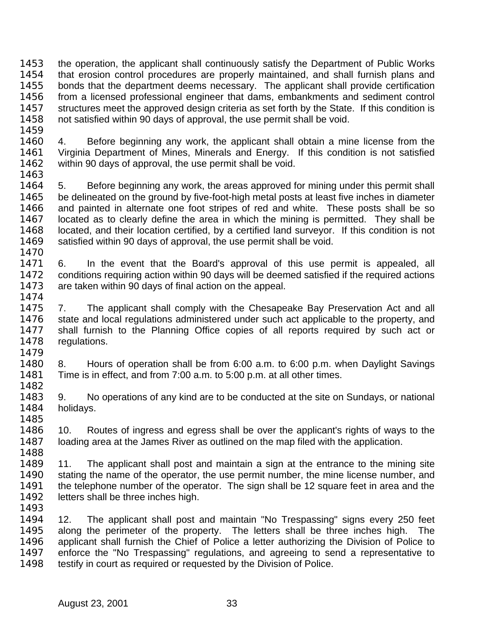the operation, the applicant shall continuously satisfy the Department of Public Works that erosion control procedures are properly maintained, and shall furnish plans and bonds that the department deems necessary. The applicant shall provide certification from a licensed professional engineer that dams, embankments and sediment control structures meet the approved design criteria as set forth by the State. If this condition is not satisfied within 90 days of approval, the use permit shall be void. 

 4. Before beginning any work, the applicant shall obtain a mine license from the Virginia Department of Mines, Minerals and Energy. If this condition is not satisfied within 90 days of approval, the use permit shall be void. 

 5. Before beginning any work, the areas approved for mining under this permit shall 1465 be delineated on the ground by five-foot-high metal posts at least five inches in diameter and painted in alternate one foot stripes of red and white. These posts shall be so located as to clearly define the area in which the mining is permitted. They shall be located, and their location certified, by a certified land surveyor. If this condition is not satisfied within 90 days of approval, the use permit shall be void. 

 6. In the event that the Board's approval of this use permit is appealed, all conditions requiring action within 90 days will be deemed satisfied if the required actions are taken within 90 days of final action on the appeal. 

- 7. The applicant shall comply with the Chesapeake Bay Preservation Act and all 1476 state and local regulations administered under such act applicable to the property, and shall furnish to the Planning Office copies of all reports required by such act or regulations.
- 8. Hours of operation shall be from 6:00 a.m. to 6:00 p.m. when Daylight Savings Time is in effect, and from 7:00 a.m. to 5:00 p.m. at all other times.
- 9. No operations of any kind are to be conducted at the site on Sundays, or national holidays.
- 10. Routes of ingress and egress shall be over the applicant's rights of ways to the loading area at the James River as outlined on the map filed with the application.
- 1489 11. The applicant shall post and maintain a sign at the entrance to the mining site stating the name of the operator, the use permit number, the mine license number, and the telephone number of the operator. The sign shall be 12 square feet in area and the 1492 letters shall be three inches high.
- 

 12. The applicant shall post and maintain "No Trespassing" signs every 250 feet along the perimeter of the property. The letters shall be three inches high. The applicant shall furnish the Chief of Police a letter authorizing the Division of Police to 1497 enforce the "No Trespassing" regulations, and agreeing to send a representative to 1498 testify in court as required or requested by the Division of Police.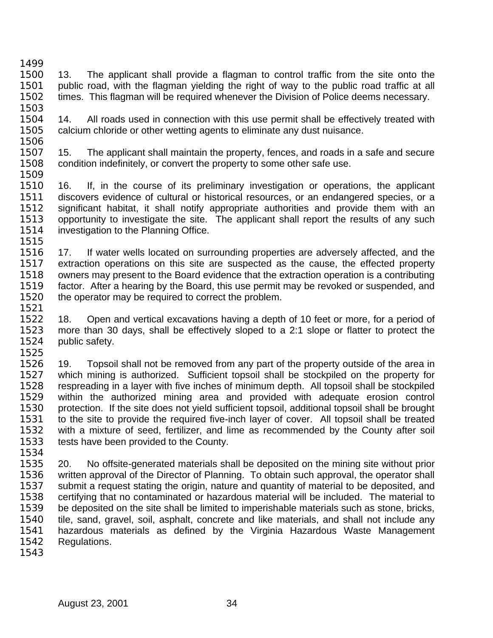- 13. The applicant shall provide a flagman to control traffic from the site onto the public road, with the flagman yielding the right of way to the public road traffic at all times. This flagman will be required whenever the Division of Police deems necessary.
- 1504 14. All roads used in connection with this use permit shall be effectively treated with calcium chloride or other wetting agents to eliminate any dust nuisance.
- 15. The applicant shall maintain the property, fences, and roads in a safe and secure condition indefinitely, or convert the property to some other safe use.
- 16. If, in the course of its preliminary investigation or operations, the applicant discovers evidence of cultural or historical resources, or an endangered species, or a significant habitat, it shall notify appropriate authorities and provide them with an opportunity to investigate the site. The applicant shall report the results of any such 1514 investigation to the Planning Office.
- 17. If water wells located on surrounding properties are adversely affected, and the extraction operations on this site are suspected as the cause, the effected property owners may present to the Board evidence that the extraction operation is a contributing factor. After a hearing by the Board, this use permit may be revoked or suspended, and 1520 the operator may be required to correct the problem.
- 18. Open and vertical excavations having a depth of 10 feet or more, for a period of more than 30 days, shall be effectively sloped to a 2:1 slope or flatter to protect the public safety.
- 19. Topsoil shall not be removed from any part of the property outside of the area in which mining is authorized. Sufficient topsoil shall be stockpiled on the property for respreading in a layer with five inches of minimum depth. All topsoil shall be stockpiled 1529 within the authorized mining area and provided with adequate erosion control<br>1530 protection. If the site does not vield sufficient topsoil additional topsoil shall be brought protection. If the site does not yield sufficient topsoil, additional topsoil shall be brought to the site to provide the required five-inch layer of cover. All topsoil shall be treated with a mixture of seed, fertilizer, and lime as recommended by the County after soil tests have been provided to the County.
- 

- 20. No offsite-generated materials shall be deposited on the mining site without prior written approval of the Director of Planning. To obtain such approval, the operator shall submit a request stating the origin, nature and quantity of material to be deposited, and certifying that no contaminated or hazardous material will be included. The material to be deposited on the site shall be limited to imperishable materials such as stone, bricks, tile, sand, gravel, soil, asphalt, concrete and like materials, and shall not include any hazardous materials as defined by the Virginia Hazardous Waste Management Regulations.
-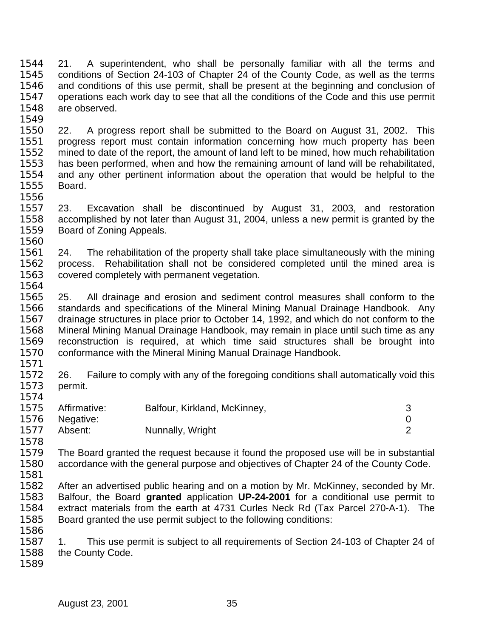21. A superintendent, who shall be personally familiar with all the terms and conditions of Section 24-103 of Chapter 24 of the County Code, as well as the terms and conditions of this use permit, shall be present at the beginning and conclusion of operations each work day to see that all the conditions of the Code and this use permit are observed. 

 22. A progress report shall be submitted to the Board on August 31, 2002. This progress report must contain information concerning how much property has been mined to date of the report, the amount of land left to be mined, how much rehabilitation has been performed, when and how the remaining amount of land will be rehabilitated, and any other pertinent information about the operation that would be helpful to the Board. 

 23. Excavation shall be discontinued by August 31, 2003, and restoration accomplished by not later than August 31, 2004, unless a new permit is granted by the Board of Zoning Appeals. 

 24. The rehabilitation of the property shall take place simultaneously with the mining process. Rehabilitation shall not be considered completed until the mined area is covered completely with permanent vegetation. 

 25. All drainage and erosion and sediment control measures shall conform to the standards and specifications of the Mineral Mining Manual Drainage Handbook. Any drainage structures in place prior to October 14, 1992, and which do not conform to the Mineral Mining Manual Drainage Handbook, may remain in place until such time as any reconstruction is required, at which time said structures shall be brought into conformance with the Mineral Mining Manual Drainage Handbook.

1572 26. Failure to comply with any of the foregoing conditions shall automatically void this permit.

|      | 1575 Affirmative: | Balfour, Kirkland, McKinney, |  |
|------|-------------------|------------------------------|--|
| 1576 | Negative:         |                              |  |
| 1577 | Absent:           | Nunnally, Wright             |  |

 The Board granted the request because it found the proposed use will be in substantial accordance with the general purpose and objectives of Chapter 24 of the County Code.

 After an advertised public hearing and on a motion by Mr. McKinney, seconded by Mr. Balfour, the Board **granted** application **UP-24-2001** for a conditional use permit to extract materials from the earth at 4731 Curles Neck Rd (Tax Parcel 270-A-1). The Board granted the use permit subject to the following conditions: 

 1. This use permit is subject to all requirements of Section 24-103 of Chapter 24 of the County Code.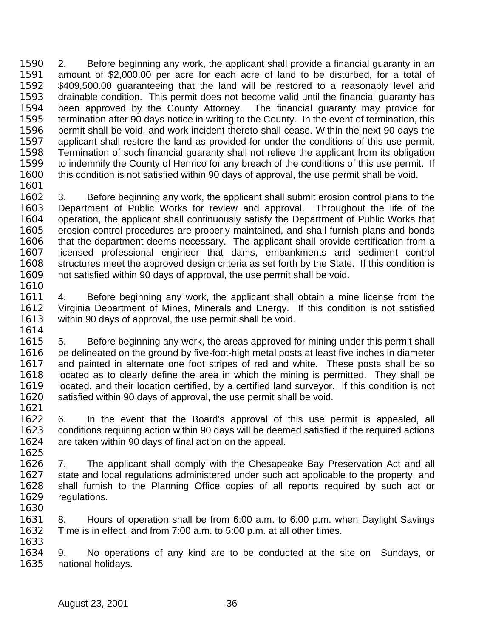2. Before beginning any work, the applicant shall provide a financial guaranty in an amount of \$2,000.00 per acre for each acre of land to be disturbed, for a total of \$409,500.00 guaranteeing that the land will be restored to a reasonably level and drainable condition. This permit does not become valid until the financial guaranty has been approved by the County Attorney. The financial guaranty may provide for termination after 90 days notice in writing to the County. In the event of termination, this permit shall be void, and work incident thereto shall cease. Within the next 90 days the applicant shall restore the land as provided for under the conditions of this use permit. Termination of such financial guaranty shall not relieve the applicant from its obligation to indemnify the County of Henrico for any breach of the conditions of this use permit. If this condition is not satisfied within 90 days of approval, the use permit shall be void.

 3. Before beginning any work, the applicant shall submit erosion control plans to the Department of Public Works for review and approval. Throughout the life of the operation, the applicant shall continuously satisfy the Department of Public Works that erosion control procedures are properly maintained, and shall furnish plans and bonds that the department deems necessary. The applicant shall provide certification from a licensed professional engineer that dams, embankments and sediment control 1608 structures meet the approved design criteria as set forth by the State. If this condition is not satisfied within 90 days of approval, the use permit shall be void. 

 4. Before beginning any work, the applicant shall obtain a mine license from the Virginia Department of Mines, Minerals and Energy. If this condition is not satisfied within 90 days of approval, the use permit shall be void. 

 5. Before beginning any work, the areas approved for mining under this permit shall 1616 be delineated on the ground by five-foot-high metal posts at least five inches in diameter and painted in alternate one foot stripes of red and white. These posts shall be so located as to clearly define the area in which the mining is permitted. They shall be located, and their location certified, by a certified land surveyor. If this condition is not satisfied within 90 days of approval, the use permit shall be void. 

 6. In the event that the Board's approval of this use permit is appealed, all conditions requiring action within 90 days will be deemed satisfied if the required actions are taken within 90 days of final action on the appeal. 

 7. The applicant shall comply with the Chesapeake Bay Preservation Act and all state and local regulations administered under such act applicable to the property, and shall furnish to the Planning Office copies of all reports required by such act or regulations. 

 8. Hours of operation shall be from 6:00 a.m. to 6:00 p.m. when Daylight Savings Time is in effect, and from 7:00 a.m. to 5:00 p.m. at all other times. 

 9. No operations of any kind are to be conducted at the site on Sundays, or national holidays.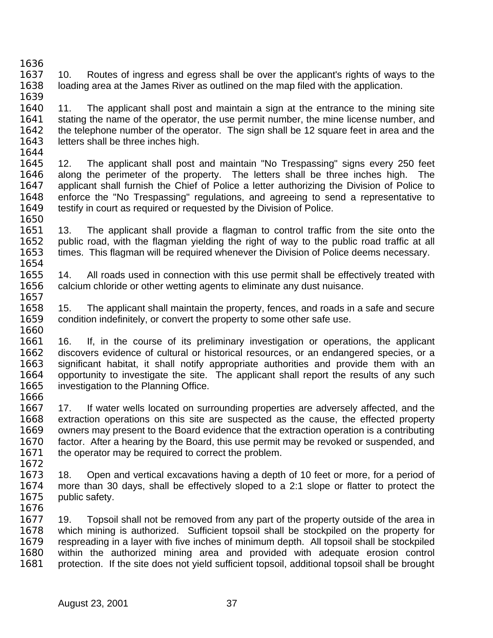- 10. Routes of ingress and egress shall be over the applicant's rights of ways to the loading area at the James River as outlined on the map filed with the application.
- 11. The applicant shall post and maintain a sign at the entrance to the mining site stating the name of the operator, the use permit number, the mine license number, and the telephone number of the operator. The sign shall be 12 square feet in area and the 1643 letters shall be three inches high.
- 
- 12. The applicant shall post and maintain "No Trespassing" signs every 250 feet along the perimeter of the property. The letters shall be three inches high. The applicant shall furnish the Chief of Police a letter authorizing the Division of Police to enforce the "No Trespassing" regulations, and agreeing to send a representative to 1649 testify in court as required or requested by the Division of Police.
- 13. The applicant shall provide a flagman to control traffic from the site onto the public road, with the flagman yielding the right of way to the public road traffic at all times. This flagman will be required whenever the Division of Police deems necessary.
- 14. All roads used in connection with this use permit shall be effectively treated with calcium chloride or other wetting agents to eliminate any dust nuisance.
- 15. The applicant shall maintain the property, fences, and roads in a safe and secure condition indefinitely, or convert the property to some other safe use.
- 16. If, in the course of its preliminary investigation or operations, the applicant discovers evidence of cultural or historical resources, or an endangered species, or a significant habitat, it shall notify appropriate authorities and provide them with an opportunity to investigate the site. The applicant shall report the results of any such investigation to the Planning Office.
- 1666<br>1667 17. If water wells located on surrounding properties are adversely affected, and the extraction operations on this site are suspected as the cause, the effected property owners may present to the Board evidence that the extraction operation is a contributing factor. After a hearing by the Board, this use permit may be revoked or suspended, and 1671 the operator may be required to correct the problem.
- 18. Open and vertical excavations having a depth of 10 feet or more, for a period of more than 30 days, shall be effectively sloped to a 2:1 slope or flatter to protect the public safety.
- 19. Topsoil shall not be removed from any part of the property outside of the area in which mining is authorized. Sufficient topsoil shall be stockpiled on the property for respreading in a layer with five inches of minimum depth. All topsoil shall be stockpiled within the authorized mining area and provided with adequate erosion control protection. If the site does not yield sufficient topsoil, additional topsoil shall be brought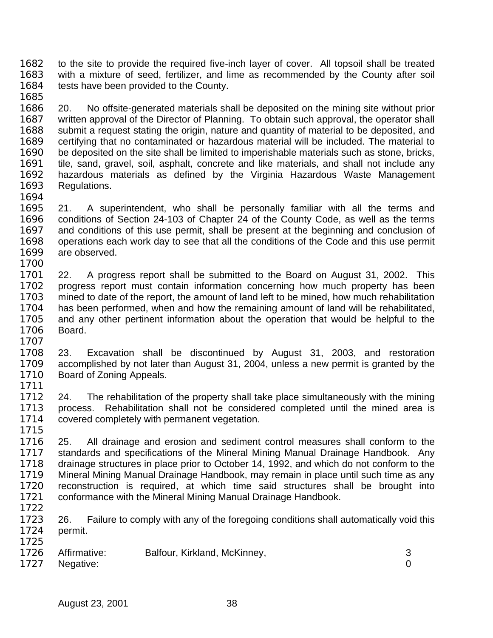to the site to provide the required five-inch layer of cover. All topsoil shall be treated with a mixture of seed, fertilizer, and lime as recommended by the County after soil 1684 tests have been provided to the County.

 20. No offsite-generated materials shall be deposited on the mining site without prior written approval of the Director of Planning. To obtain such approval, the operator shall 1688 submit a request stating the origin, nature and quantity of material to be deposited, and certifying that no contaminated or hazardous material will be included. The material to be deposited on the site shall be limited to imperishable materials such as stone, bricks, tile, sand, gravel, soil, asphalt, concrete and like materials, and shall not include any hazardous materials as defined by the Virginia Hazardous Waste Management Regulations. 

 21. A superintendent, who shall be personally familiar with all the terms and conditions of Section 24-103 of Chapter 24 of the County Code, as well as the terms and conditions of this use permit, shall be present at the beginning and conclusion of operations each work day to see that all the conditions of the Code and this use permit are observed. 

 22. A progress report shall be submitted to the Board on August 31, 2002. This progress report must contain information concerning how much property has been mined to date of the report, the amount of land left to be mined, how much rehabilitation has been performed, when and how the remaining amount of land will be rehabilitated, and any other pertinent information about the operation that would be helpful to the Board.

 23. Excavation shall be discontinued by August 31, 2003, and restoration accomplished by not later than August 31, 2004, unless a new permit is granted by the Board of Zoning Appeals.

1712 24. The rehabilitation of the property shall take place simultaneously with the mining<br>1713 process. Rehabilitation shall not be considered completed until the mined area is process. Rehabilitation shall not be considered completed until the mined area is covered completely with permanent vegetation.

 25. All drainage and erosion and sediment control measures shall conform to the standards and specifications of the Mineral Mining Manual Drainage Handbook. Any drainage structures in place prior to October 14, 1992, and which do not conform to the Mineral Mining Manual Drainage Handbook, may remain in place until such time as any reconstruction is required, at which time said structures shall be brought into conformance with the Mineral Mining Manual Drainage Handbook.

26. Failure to comply with any of the foregoing conditions shall automatically void this permit. 

| 1726 Affirmative: | Balfour, Kirkland, McKinney, |  |
|-------------------|------------------------------|--|
| 1727 Negative:    |                              |  |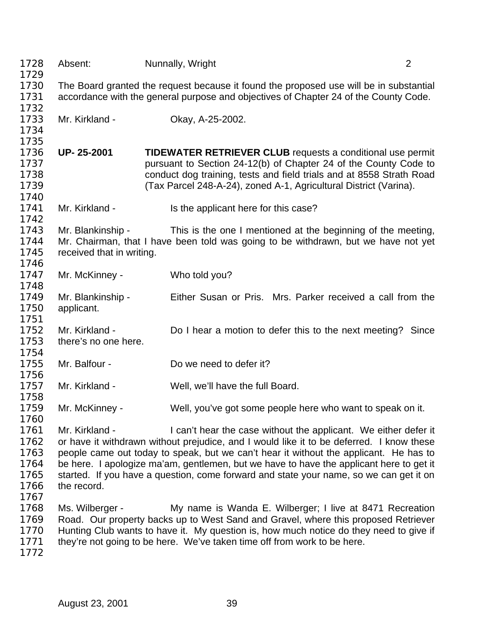| 1728         | Absent:                                                                                                                                                                        | Nunnally, Wright                                                                                                                                                                 | $\overline{2}$ |
|--------------|--------------------------------------------------------------------------------------------------------------------------------------------------------------------------------|----------------------------------------------------------------------------------------------------------------------------------------------------------------------------------|----------------|
| 1729<br>1730 |                                                                                                                                                                                |                                                                                                                                                                                  |                |
| 1731         | The Board granted the request because it found the proposed use will be in substantial<br>accordance with the general purpose and objectives of Chapter 24 of the County Code. |                                                                                                                                                                                  |                |
| 1732         |                                                                                                                                                                                |                                                                                                                                                                                  |                |
| 1733         | Mr. Kirkland -                                                                                                                                                                 | Okay, A-25-2002.                                                                                                                                                                 |                |
| 1734         |                                                                                                                                                                                |                                                                                                                                                                                  |                |
| 1735         |                                                                                                                                                                                |                                                                                                                                                                                  |                |
| 1736         | UP-25-2001                                                                                                                                                                     | <b>TIDEWATER RETRIEVER CLUB requests a conditional use permit</b>                                                                                                                |                |
| 1737         |                                                                                                                                                                                | pursuant to Section 24-12(b) of Chapter 24 of the County Code to                                                                                                                 |                |
| 1738         |                                                                                                                                                                                | conduct dog training, tests and field trials and at 8558 Strath Road                                                                                                             |                |
| 1739         |                                                                                                                                                                                | (Tax Parcel 248-A-24), zoned A-1, Agricultural District (Varina).                                                                                                                |                |
| 1740         |                                                                                                                                                                                |                                                                                                                                                                                  |                |
| 1741         | Mr. Kirkland -                                                                                                                                                                 | Is the applicant here for this case?                                                                                                                                             |                |
| 1742         |                                                                                                                                                                                |                                                                                                                                                                                  |                |
| 1743         | Mr. Blankinship -                                                                                                                                                              | This is the one I mentioned at the beginning of the meeting,                                                                                                                     |                |
| 1744         |                                                                                                                                                                                | Mr. Chairman, that I have been told was going to be withdrawn, but we have not yet                                                                                               |                |
| 1745         | received that in writing.                                                                                                                                                      |                                                                                                                                                                                  |                |
| 1746         |                                                                                                                                                                                |                                                                                                                                                                                  |                |
| 1747         | Mr. McKinney -                                                                                                                                                                 | Who told you?                                                                                                                                                                    |                |
| 1748<br>1749 | Mr. Blankinship -                                                                                                                                                              | Either Susan or Pris. Mrs. Parker received a call from the                                                                                                                       |                |
| 1750         | applicant.                                                                                                                                                                     |                                                                                                                                                                                  |                |
| 1751         |                                                                                                                                                                                |                                                                                                                                                                                  |                |
| 1752         | Mr. Kirkland -                                                                                                                                                                 | Do I hear a motion to defer this to the next meeting? Since                                                                                                                      |                |
| 1753         | there's no one here.                                                                                                                                                           |                                                                                                                                                                                  |                |
| 1754         |                                                                                                                                                                                |                                                                                                                                                                                  |                |
| 1755         | Mr. Balfour -                                                                                                                                                                  | Do we need to defer it?                                                                                                                                                          |                |
| 1756         |                                                                                                                                                                                |                                                                                                                                                                                  |                |
| 1757         | Mr. Kirkland -                                                                                                                                                                 | Well, we'll have the full Board.                                                                                                                                                 |                |
| 1758         |                                                                                                                                                                                |                                                                                                                                                                                  |                |
| 1759         | Mr. McKinney -                                                                                                                                                                 | Well, you've got some people here who want to speak on it.                                                                                                                       |                |
| 1760         |                                                                                                                                                                                |                                                                                                                                                                                  |                |
| 1761         | Mr. Kirkland -                                                                                                                                                                 | I can't hear the case without the applicant. We either defer it                                                                                                                  |                |
| 1762         |                                                                                                                                                                                | or have it withdrawn without prejudice, and I would like it to be deferred. I know these                                                                                         |                |
| 1763<br>1764 |                                                                                                                                                                                | people came out today to speak, but we can't hear it without the applicant. He has to<br>be here. I apologize ma'am, gentlemen, but we have to have the applicant here to get it |                |
| 1765         |                                                                                                                                                                                | started. If you have a question, come forward and state your name, so we can get it on                                                                                           |                |
| 1766         | the record.                                                                                                                                                                    |                                                                                                                                                                                  |                |
| 1767         |                                                                                                                                                                                |                                                                                                                                                                                  |                |
| 1768         | Ms. Wilberger -                                                                                                                                                                | My name is Wanda E. Wilberger; I live at 8471 Recreation                                                                                                                         |                |
| 1769         |                                                                                                                                                                                | Road. Our property backs up to West Sand and Gravel, where this proposed Retriever                                                                                               |                |
| 1770         |                                                                                                                                                                                | Hunting Club wants to have it. My question is, how much notice do they need to give if                                                                                           |                |
| 1771         |                                                                                                                                                                                | they're not going to be here. We've taken time off from work to be here.                                                                                                         |                |
| 1772         |                                                                                                                                                                                |                                                                                                                                                                                  |                |
|              |                                                                                                                                                                                |                                                                                                                                                                                  |                |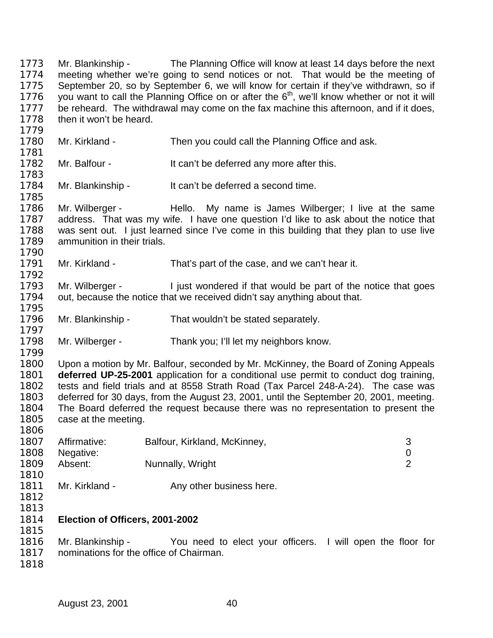Mr. Blankinship - The Planning Office will know at least 14 days before the next meeting whether we're going to send notices or not. That would be the meeting of September 20, so by September 6, we will know for certain if they've withdrawn, so if 1776 you want to call the Planning Office on or after the  $6<sup>th</sup>$ , we'll know whether or not it will 1777 be reheard. The withdrawal may come on the fax machine this afternoon, and if it does, then it won't be heard.

- 1780 Mr. Kirkland - Then you could call the Planning Office and ask. 1782 Mr. Balfour - It can't be deferred any more after this. 1784 Mr. Blankinship - It can't be deferred a second time. 1786 Mr. Wilberger - Hello. My name is James Wilberger; I live at the same address. That was my wife. I have one question I'd like to ask about the notice that was sent out. I just learned since I've come in this building that they plan to use live ammunition in their trials. Mr. Kirkland - That's part of the case, and we can't hear it. 1793 Mr. Wilberger - I just wondered if that would be part of the notice that goes out, because the notice that we received didn't say anything about that.
- Mr. Blankinship That wouldn't be stated separately.
- Mr. Wilberger Thank you; I'll let my neighbors know.

 Upon a motion by Mr. Balfour, seconded by Mr. McKinney, the Board of Zoning Appeals **deferred UP-25-2001** application for a conditional use permit to conduct dog training, tests and field trials and at 8558 Strath Road (Tax Parcel 248-A-24). The case was deferred for 30 days, from the August 23, 2001, until the September 20, 2001, meeting. The Board deferred the request because there was no representation to present the 1805 case at the meeting.

| 1807 | Affirmative: | Balfour, Kirkland, McKinney, |  |
|------|--------------|------------------------------|--|
| 1808 | Negative:    |                              |  |
| 1809 | Absent:      | Nunnally, Wright             |  |
| 1810 |              |                              |  |
| .    | .            |                              |  |

- 1811 Mr. Kirkland Any other business here.
- 

## **Election of Officers, 2001-2002**

 Mr. Blankinship - You need to elect your officers. I will open the floor for nominations for the office of Chairman.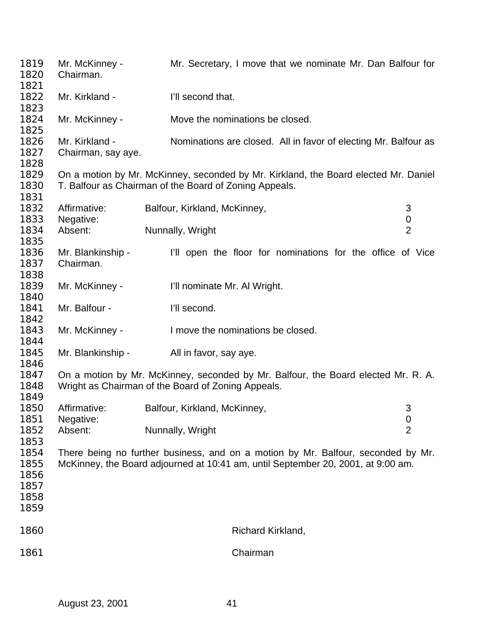| 1819<br>1820<br>1821                         | Mr. McKinney -<br>Chairman.                                                                                                                                          | Mr. Secretary, I move that we nominate Mr. Dan Balfour for |                                                                 |                       |
|----------------------------------------------|----------------------------------------------------------------------------------------------------------------------------------------------------------------------|------------------------------------------------------------|-----------------------------------------------------------------|-----------------------|
| 1822<br>1823                                 | Mr. Kirkland -                                                                                                                                                       |                                                            | I'll second that.                                               |                       |
| 1824<br>1825                                 | Mr. McKinney -                                                                                                                                                       |                                                            | Move the nominations be closed.                                 |                       |
| 1826<br>1827<br>1828                         | Mr. Kirkland -<br>Chairman, say aye.                                                                                                                                 |                                                            | Nominations are closed. All in favor of electing Mr. Balfour as |                       |
| 1829<br>1830<br>1831                         | On a motion by Mr. McKinney, seconded by Mr. Kirkland, the Board elected Mr. Daniel<br>T. Balfour as Chairman of the Board of Zoning Appeals.                        |                                                            |                                                                 |                       |
| 1832<br>1833                                 | Affirmative:<br>Negative:                                                                                                                                            | Balfour, Kirkland, McKinney,                               |                                                                 | 3<br>$\boldsymbol{0}$ |
| 1834<br>1835                                 | Absent:                                                                                                                                                              | Nunnally, Wright                                           |                                                                 | $\overline{2}$        |
| 1836<br>1837<br>1838                         | Mr. Blankinship -<br>Chairman.                                                                                                                                       |                                                            | I'll open the floor for nominations for the office of Vice      |                       |
| 1839<br>1840                                 | Mr. McKinney -                                                                                                                                                       |                                                            | I'll nominate Mr. Al Wright.                                    |                       |
| 1841<br>1842                                 | Mr. Balfour -                                                                                                                                                        | I'll second.                                               |                                                                 |                       |
| 1843<br>1844                                 | Mr. McKinney -                                                                                                                                                       |                                                            | I move the nominations be closed.                               |                       |
| 1845<br>1846                                 | Mr. Blankinship -                                                                                                                                                    | All in favor, say aye.                                     |                                                                 |                       |
| 1847<br>1848<br>1849                         | On a motion by Mr. McKinney, seconded by Mr. Balfour, the Board elected Mr. R. A.<br>Wright as Chairman of the Board of Zoning Appeals.                              |                                                            |                                                                 |                       |
| 1850<br>1851                                 | Affirmative:<br>Negative:                                                                                                                                            | Balfour, Kirkland, McKinney,                               |                                                                 | 3<br>$\pmb{0}$        |
| 1852<br>1853                                 | Absent:                                                                                                                                                              | Nunnally, Wright<br>$\overline{2}$                         |                                                                 |                       |
| 1854<br>1855<br>1856<br>1857<br>1858<br>1859 | There being no further business, and on a motion by Mr. Balfour, seconded by Mr.<br>McKinney, the Board adjourned at 10:41 am, until September 20, 2001, at 9:00 am. |                                                            |                                                                 |                       |
| 1860                                         |                                                                                                                                                                      |                                                            | Richard Kirkland,                                               |                       |
| 1861                                         | Chairman                                                                                                                                                             |                                                            |                                                                 |                       |